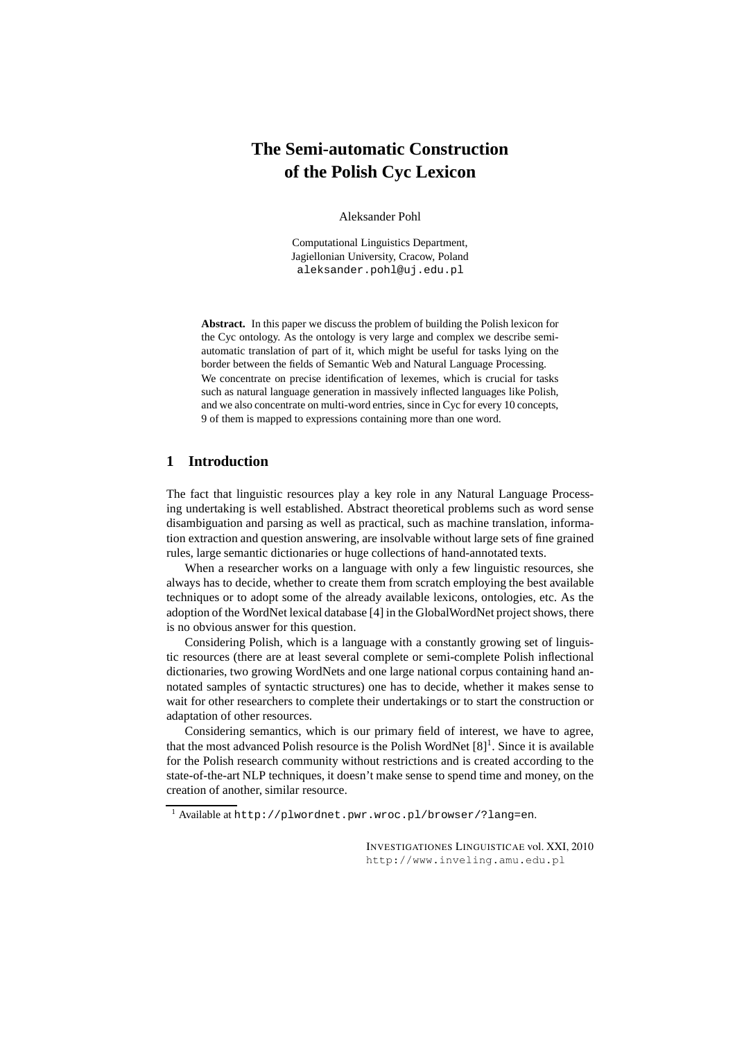# **The Semi-automatic Construction of the Polish Cyc Lexicon**

Aleksander Pohl

Computational Linguistics Department, Jagiellonian University, Cracow, Poland aleksander.pohl@uj.edu.pl

**Abstract.** In this paper we discuss the problem of building the Polish lexicon for the Cyc ontology. As the ontology is very large and complex we describe semiautomatic translation of part of it, which might be useful for tasks lying on the border between the fields of Semantic Web and Natural Language Processing. We concentrate on precise identification of lexemes, which is crucial for tasks such as natural language generation in massively inflected languages like Polish, and we also concentrate on multi-word entries, since in Cyc for every 10 concepts, 9 of them is mapped to expressions containing more than one word.

## **1 Introduction**

The fact that linguistic resources play a key role in any Natural Language Processing undertaking is well established. Abstract theoretical problems such as word sense disambiguation and parsing as well as practical, such as machine translation, information extraction and question answering, are insolvable without large sets of fine grained rules, large semantic dictionaries or huge collections of hand-annotated texts.

When a researcher works on a language with only a few linguistic resources, she always has to decide, whether to create them from scratch employing the best available techniques or to adopt some of the already available lexicons, ontologies, etc. As the adoption of the WordNet lexical database [4] in the GlobalWordNet project shows, there is no obvious answer for this question.

Considering Polish, which is a language with a constantly growing set of linguistic resources (there are at least several complete or semi-complete Polish inflectional dictionaries, two growing WordNets and one large national corpus containing hand annotated samples of syntactic structures) one has to decide, whether it makes sense to wait for other researchers to complete their undertakings or to start the construction or adaptation of other resources.

Considering semantics, which is our primary field of interest, we have to agree, that the most advanced Polish resource is the Polish WordNet  $[8]$ <sup>1</sup>. Since it is available for the Polish research community without restrictions and is created according to the state-of-the-art NLP techniques, it doesn't make sense to spend time and money, on the creation of another, similar resource.

<sup>1</sup> Available at http://plwordnet.pwr.wroc.pl/browser/?lang=en.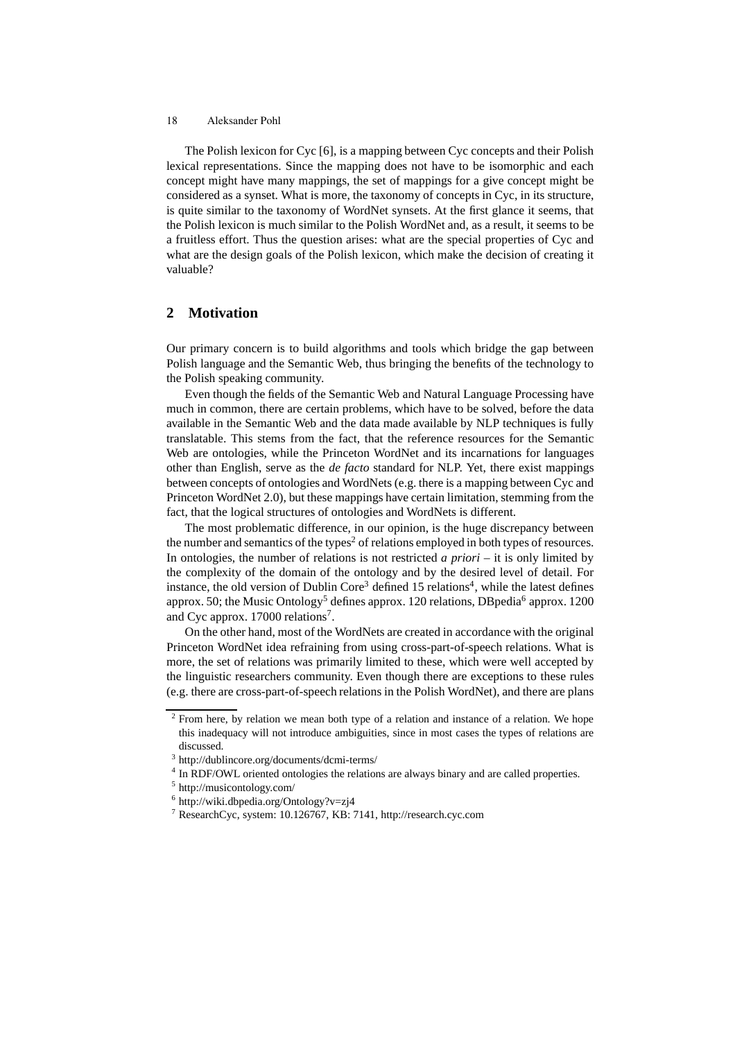The Polish lexicon for Cyc [6], is a mapping between Cyc concepts and their Polish lexical representations. Since the mapping does not have to be isomorphic and each concept might have many mappings, the set of mappings for a give concept might be considered as a synset. What is more, the taxonomy of concepts in Cyc, in its structure, is quite similar to the taxonomy of WordNet synsets. At the first glance it seems, that the Polish lexicon is much similar to the Polish WordNet and, as a result, it seems to be a fruitless effort. Thus the question arises: what are the special properties of Cyc and what are the design goals of the Polish lexicon, which make the decision of creating it valuable?

# **2 Motivation**

Our primary concern is to build algorithms and tools which bridge the gap between Polish language and the Semantic Web, thus bringing the benefits of the technology to the Polish speaking community.

Even though the fields of the Semantic Web and Natural Language Processing have much in common, there are certain problems, which have to be solved, before the data available in the Semantic Web and the data made available by NLP techniques is fully translatable. This stems from the fact, that the reference resources for the Semantic Web are ontologies, while the Princeton WordNet and its incarnations for languages other than English, serve as the *de facto* standard for NLP. Yet, there exist mappings between concepts of ontologies and WordNets (e.g. there is a mapping between Cyc and Princeton WordNet 2.0), but these mappings have certain limitation, stemming from the fact, that the logical structures of ontologies and WordNets is different.

The most problematic difference, in our opinion, is the huge discrepancy between the number and semantics of the types<sup>2</sup> of relations employed in both types of resources. In ontologies, the number of relations is not restricted *a priori* – it is only limited by the complexity of the domain of the ontology and by the desired level of detail. For instance, the old version of Dublin Core<sup>3</sup> defined 15 relations<sup>4</sup>, while the latest defines approx. 50; the Music Ontology<sup>5</sup> defines approx. 120 relations, DBpedia<sup>6</sup> approx. 1200 and Cyc approx. 17000 relations<sup>7</sup>.

On the other hand, most of the WordNets are created in accordance with the original Princeton WordNet idea refraining from using cross-part-of-speech relations. What is more, the set of relations was primarily limited to these, which were well accepted by the linguistic researchers community. Even though there are exceptions to these rules (e.g. there are cross-part-of-speech relations in the Polish WordNet), and there are plans

 $2$  From here, by relation we mean both type of a relation and instance of a relation. We hope this inadequacy will not introduce ambiguities, since in most cases the types of relations are discussed.

<sup>3</sup> http://dublincore.org/documents/dcmi-terms/

<sup>&</sup>lt;sup>4</sup> In RDF/OWL oriented ontologies the relations are always binary and are called properties.

<sup>5</sup> http://musicontology.com/

<sup>6</sup> http://wiki.dbpedia.org/Ontology?v=zj4

 $7$  ResearchCyc, system: 10.126767, KB: 7141, http://research.cyc.com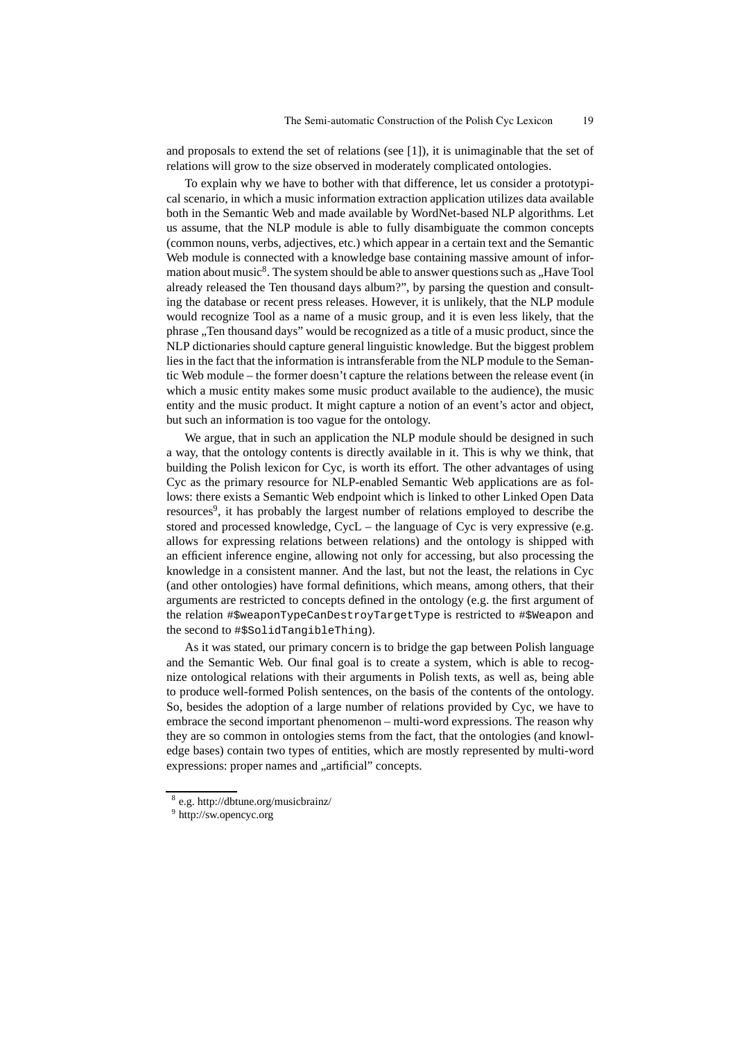and proposals to extend the set of relations (see [1]), it is unimaginable that the set of relations will grow to the size observed in moderately complicated ontologies.

To explain why we have to bother with that difference, let us consider a prototypical scenario, in which a music information extraction application utilizes data available both in the Semantic Web and made available by WordNet-based NLP algorithms. Let us assume, that the NLP module is able to fully disambiguate the common concepts (common nouns, verbs, adjectives, etc.) which appear in a certain text and the Semantic Web module is connected with a knowledge base containing massive amount of information about music<sup>8</sup>. The system should be able to answer questions such as "Have Tool already released the Ten thousand days album?", by parsing the question and consulting the database or recent press releases. However, it is unlikely, that the NLP module would recognize Tool as a name of a music group, and it is even less likely, that the phrase "Ten thousand days" would be recognized as a title of a music product, since the NLP dictionaries should capture general linguistic knowledge. But the biggest problem lies in the fact that the information is intransferable from the NLP module to the Semantic Web module – the former doesn't capture the relations between the release event (in which a music entity makes some music product available to the audience), the music entity and the music product. It might capture a notion of an event's actor and object, but such an information is too vague for the ontology.

We argue, that in such an application the NLP module should be designed in such a way, that the ontology contents is directly available in it. This is why we think, that building the Polish lexicon for Cyc, is worth its effort. The other advantages of using Cyc as the primary resource for NLP-enabled Semantic Web applications are as follows: there exists a Semantic Web endpoint which is linked to other Linked Open Data resources<sup>9</sup>, it has probably the largest number of relations employed to describe the stored and processed knowledge, CycL – the language of Cyc is very expressive (e.g. allows for expressing relations between relations) and the ontology is shipped with an efficient inference engine, allowing not only for accessing, but also processing the knowledge in a consistent manner. And the last, but not the least, the relations in Cyc (and other ontologies) have formal definitions, which means, among others, that their arguments are restricted to concepts defined in the ontology (e.g. the first argument of the relation #\$weaponTypeCanDestroyTargetType is restricted to #\$Weapon and the second to #\$SolidTangibleThing).

As it was stated, our primary concern is to bridge the gap between Polish language and the Semantic Web. Our final goal is to create a system, which is able to recognize ontological relations with their arguments in Polish texts, as well as, being able to produce well-formed Polish sentences, on the basis of the contents of the ontology. So, besides the adoption of a large number of relations provided by Cyc, we have to embrace the second important phenomenon – multi-word expressions. The reason why they are so common in ontologies stems from the fact, that the ontologies (and knowledge bases) contain two types of entities, which are mostly represented by multi-word expressions: proper names and "artificial" concepts.

<sup>8</sup> e.g. http://dbtune.org/musicbrainz/

<sup>&</sup>lt;sup>9</sup> http://sw.opencyc.org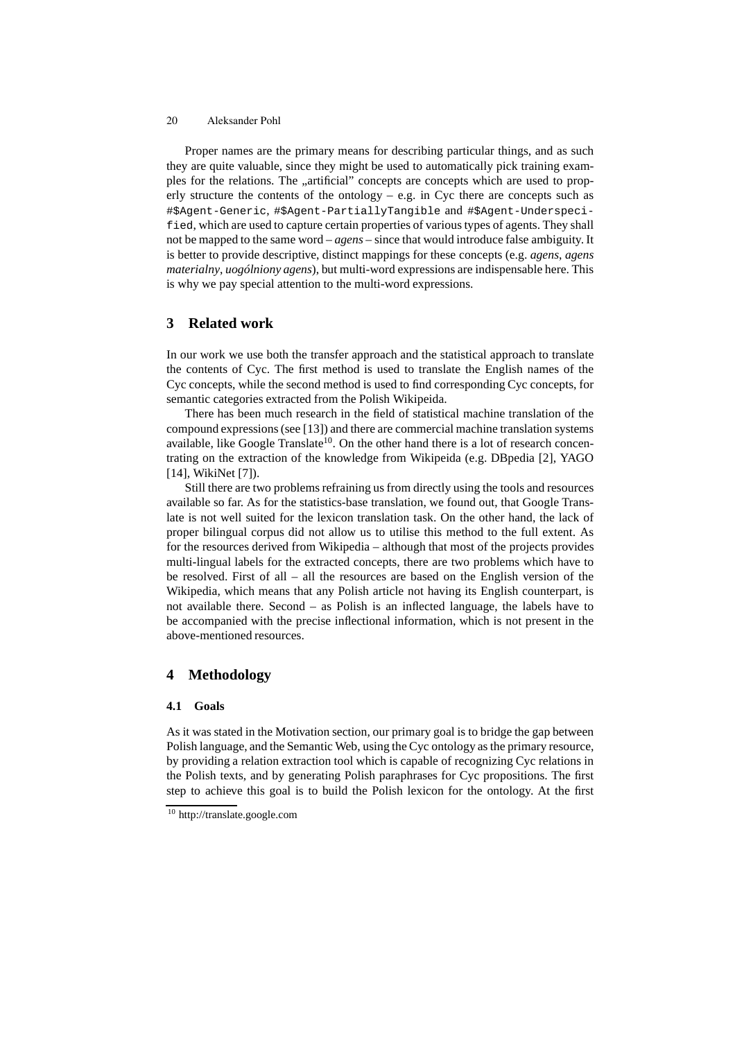Proper names are the primary means for describing particular things, and as such they are quite valuable, since they might be used to automatically pick training examples for the relations. The "artificial" concepts are concepts which are used to properly structure the contents of the ontology – e.g. in Cyc there are concepts such as #\$Agent-Generic, #\$Agent-PartiallyTangible and #\$Agent-Underspecified, which are used to capture certain properties of various types of agents. They shall not be mapped to the same word – *agens* – since that would introduce false ambiguity. It is better to provide descriptive, distinct mappings for these concepts (e.g. *agens*, *agens materialny*, *uogólniony agens*), but multi-word expressions are indispensable here. This is why we pay special attention to the multi-word expressions.

# **3 Related work**

In our work we use both the transfer approach and the statistical approach to translate the contents of Cyc. The first method is used to translate the English names of the Cyc concepts, while the second method is used to find corresponding Cyc concepts, for semantic categories extracted from the Polish Wikipeida.

There has been much research in the field of statistical machine translation of the compound expressions (see [13]) and there are commercial machine translation systems available, like Google Translate<sup>10</sup>. On the other hand there is a lot of research concentrating on the extraction of the knowledge from Wikipeida (e.g. DBpedia [2], YAGO [14], WikiNet [7]).

Still there are two problems refraining us from directly using the tools and resources available so far. As for the statistics-base translation, we found out, that Google Translate is not well suited for the lexicon translation task. On the other hand, the lack of proper bilingual corpus did not allow us to utilise this method to the full extent. As for the resources derived from Wikipedia – although that most of the projects provides multi-lingual labels for the extracted concepts, there are two problems which have to be resolved. First of all – all the resources are based on the English version of the Wikipedia, which means that any Polish article not having its English counterpart, is not available there. Second – as Polish is an inflected language, the labels have to be accompanied with the precise inflectional information, which is not present in the above-mentioned resources.

# **4 Methodology**

# **4.1 Goals**

As it was stated in the Motivation section, our primary goal is to bridge the gap between Polish language, and the Semantic Web, using the Cyc ontology as the primary resource, by providing a relation extraction tool which is capable of recognizing Cyc relations in the Polish texts, and by generating Polish paraphrases for Cyc propositions. The first step to achieve this goal is to build the Polish lexicon for the ontology. At the first

<sup>10</sup> http://translate.google.com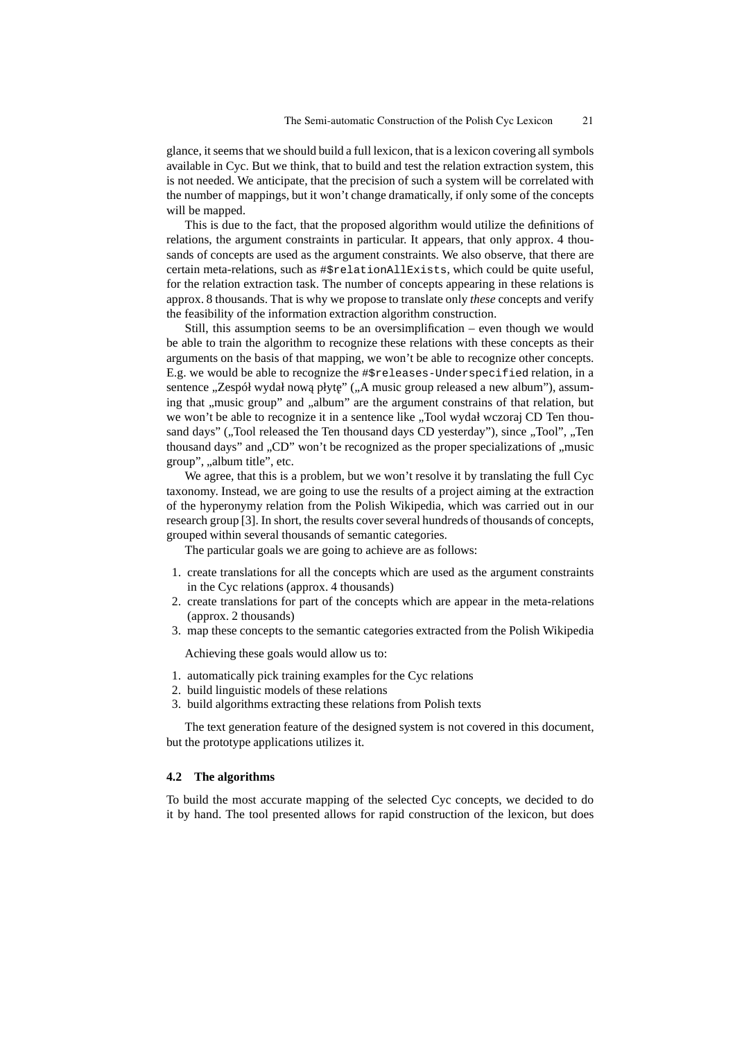glance, it seems that we should build a full lexicon, that is a lexicon covering all symbols available in Cyc. But we think, that to build and test the relation extraction system, this is not needed. We anticipate, that the precision of such a system will be correlated with the number of mappings, but it won't change dramatically, if only some of the concepts will be mapped.

This is due to the fact, that the proposed algorithm would utilize the definitions of relations, the argument constraints in particular. It appears, that only approx. 4 thousands of concepts are used as the argument constraints. We also observe, that there are certain meta-relations, such as #\$relationAllExists, which could be quite useful, for the relation extraction task. The number of concepts appearing in these relations is approx. 8 thousands. That is why we propose to translate only *these* concepts and verify the feasibility of the information extraction algorithm construction.

Still, this assumption seems to be an oversimplification – even though we would be able to train the algorithm to recognize these relations with these concepts as their arguments on the basis of that mapping, we won't be able to recognize other concepts. E.g. we would be able to recognize the #\$releases-Underspecified relation, in a sentence "Zespół wydał nową płytę" ("A music group released a new album"), assuming that ,,music group" and ,,album" are the argument constrains of that relation, but we won't be able to recognize it in a sentence like "Tool wydał wczoraj CD Ten thousand days" ("Tool released the Ten thousand days CD yesterday"), since "Tool", "Ten thousand days" and "CD" won't be recognized as the proper specializations of "music group", "album title", etc.

We agree, that this is a problem, but we won't resolve it by translating the full Cyc taxonomy. Instead, we are going to use the results of a project aiming at the extraction of the hyperonymy relation from the Polish Wikipedia, which was carried out in our research group [3]. In short, the results cover several hundreds of thousands of concepts, grouped within several thousands of semantic categories.

The particular goals we are going to achieve are as follows:

- 1. create translations for all the concepts which are used as the argument constraints in the Cyc relations (approx. 4 thousands)
- 2. create translations for part of the concepts which are appear in the meta-relations (approx. 2 thousands)
- 3. map these concepts to the semantic categories extracted from the Polish Wikipedia

Achieving these goals would allow us to:

- 1. automatically pick training examples for the Cyc relations
- 2. build linguistic models of these relations
- 3. build algorithms extracting these relations from Polish texts

The text generation feature of the designed system is not covered in this document, but the prototype applications utilizes it.

#### **4.2 The algorithms**

To build the most accurate mapping of the selected Cyc concepts, we decided to do it by hand. The tool presented allows for rapid construction of the lexicon, but does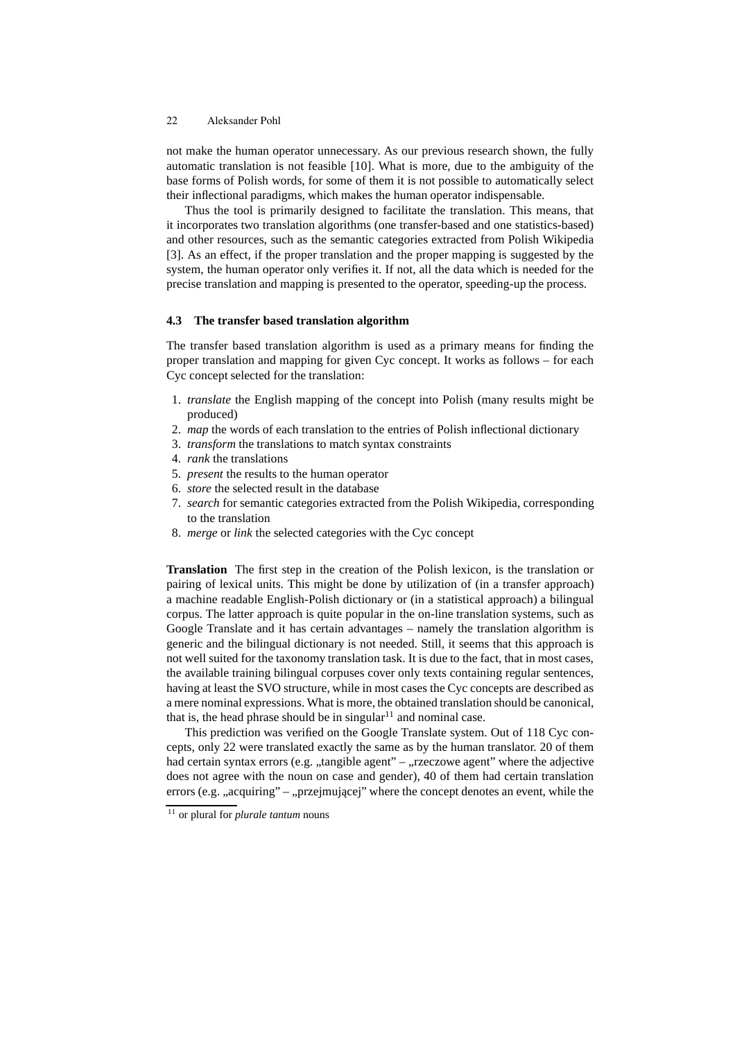not make the human operator unnecessary. As our previous research shown, the fully automatic translation is not feasible [10]. What is more, due to the ambiguity of the base forms of Polish words, for some of them it is not possible to automatically select their inflectional paradigms, which makes the human operator indispensable.

Thus the tool is primarily designed to facilitate the translation. This means, that it incorporates two translation algorithms (one transfer-based and one statistics-based) and other resources, such as the semantic categories extracted from Polish Wikipedia [3]. As an effect, if the proper translation and the proper mapping is suggested by the system, the human operator only verifies it. If not, all the data which is needed for the precise translation and mapping is presented to the operator, speeding-up the process.

## **4.3 The transfer based translation algorithm**

The transfer based translation algorithm is used as a primary means for finding the proper translation and mapping for given Cyc concept. It works as follows – for each Cyc concept selected for the translation:

- 1. *translate* the English mapping of the concept into Polish (many results might be produced)
- 2. *map* the words of each translation to the entries of Polish inflectional dictionary
- 3. *transform* the translations to match syntax constraints
- 4. *rank* the translations
- 5. *present* the results to the human operator
- 6. *store* the selected result in the database
- 7. *search* for semantic categories extracted from the Polish Wikipedia, corresponding to the translation
- 8. *merge* or *link* the selected categories with the Cyc concept

**Translation** The first step in the creation of the Polish lexicon, is the translation or pairing of lexical units. This might be done by utilization of (in a transfer approach) a machine readable English-Polish dictionary or (in a statistical approach) a bilingual corpus. The latter approach is quite popular in the on-line translation systems, such as Google Translate and it has certain advantages – namely the translation algorithm is generic and the bilingual dictionary is not needed. Still, it seems that this approach is not well suited for the taxonomy translation task. It is due to the fact, that in most cases, the available training bilingual corpuses cover only texts containing regular sentences, having at least the SVO structure, while in most cases the Cyc concepts are described as a mere nominal expressions. What is more, the obtained translation should be canonical, that is, the head phrase should be in singular $11$  and nominal case.

This prediction was verified on the Google Translate system. Out of 118 Cyc concepts, only 22 were translated exactly the same as by the human translator. 20 of them had certain syntax errors (e.g.  $\mu$ angible agent" –  $\mu$ rzeczowe agent" where the adjective does not agree with the noun on case and gender), 40 of them had certain translation errors (e.g. "acquiring" – "przejmującej" where the concept denotes an event, while the

<sup>11</sup> or plural for *plurale tantum* nouns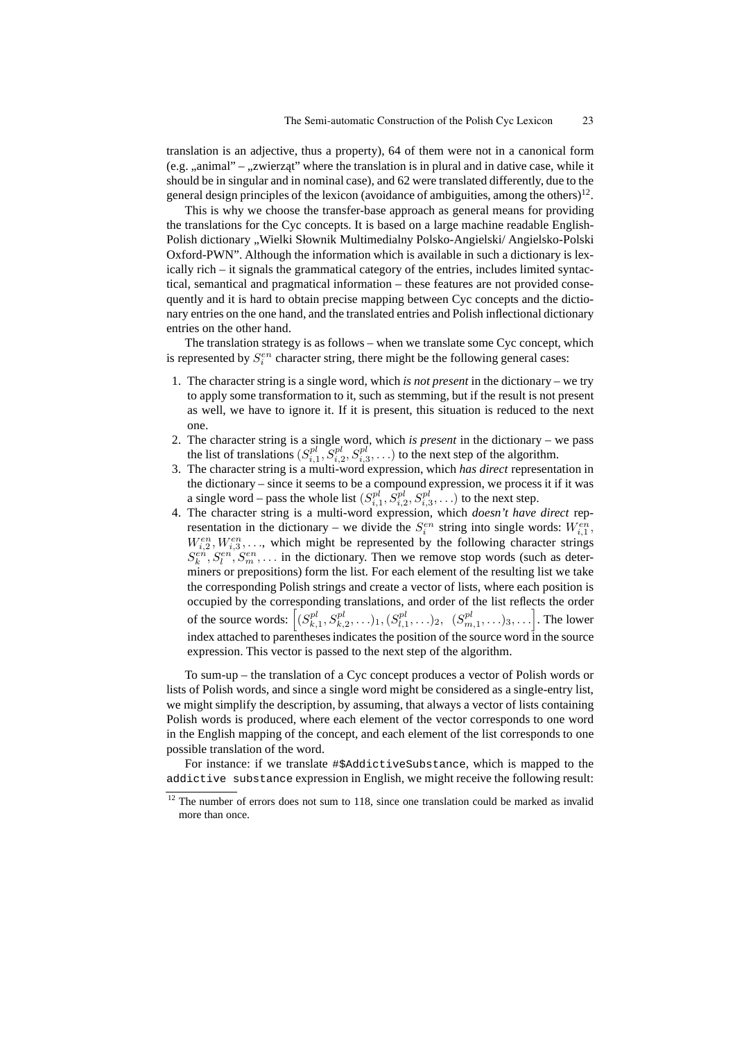translation is an adjective, thus a property), 64 of them were not in a canonical form  $(e.g., animal" - <sub>1</sub>, zwierz at" where the translation is in plural and in dative case, while it$ should be in singular and in nominal case), and 62 were translated differently, due to the general design principles of the lexicon (avoidance of ambiguities, among the others)<sup>12</sup>.

This is why we choose the transfer-base approach as general means for providing the translations for the Cyc concepts. It is based on a large machine readable English-Polish dictionary "Wielki Słownik Multimedialny Polsko-Angielski/ Angielsko-Polski Oxford-PWN". Although the information which is available in such a dictionary is lexically rich – it signals the grammatical category of the entries, includes limited syntactical, semantical and pragmatical information – these features are not provided consequently and it is hard to obtain precise mapping between Cyc concepts and the dictionary entries on the one hand, and the translated entries and Polish inflectional dictionary entries on the other hand.

The translation strategy is as follows – when we translate some Cyc concept, which is represented by  $S_i^{en}$  character string, there might be the following general cases:

- 1. The character string is a single word, which *is not present* in the dictionary we try to apply some transformation to it, such as stemming, but if the result is not present as well, we have to ignore it. If it is present, this situation is reduced to the next one.
- 2. The character string is a single word, which *is present* in the dictionary we pass the list of translations  $(S_{i,1}^{pl}, S_{i,2}^{pl}, S_{i,3}^{pl}, \ldots)$  to the next step of the algorithm.
- 3. The character string is a multi-word expression, which *has direct* representation in the dictionary – since it seems to be a compound expression, we process it if it was a single word – pass the whole list  $(S_{i,1}^{pl}, S_{i,2}^{pl}, S_{i,3}^{pl}, \ldots)$  to the next step.
- 4. The character string is a multi-word expression, which *doesn't have direct* representation in the dictionary – we divide the  $S_i^{en}$  string into single words:  $W_{i,1}^{en}$ ,  $W_{i,2}^{en}, W_{i,3}^{en}, \ldots$ , which might be represented by the following character strings  $S_k^{en}, S_l^{en}, S_m^{en}, \dots$  in the dictionary. Then we remove stop words (such as determiners or prepositions) form the list. For each element of the resulting list we take the corresponding Polish strings and create a vector of lists, where each position is occupied by the corresponding translations, and order of the list reflects the order of the source words:  $\left[ (S_{k,1}^{pl}, S_{k,2}^{pl}, \ldots)_1, (S_{l,1}^{pl}, \ldots)_2, (S_{m,1}^{pl}, \ldots)_3, \ldots \right]$ . The lower index attached to parentheses indicates the position of the source word in the source expression. This vector is passed to the next step of the algorithm.

To sum-up – the translation of a Cyc concept produces a vector of Polish words or lists of Polish words, and since a single word might be considered as a single-entry list, we might simplify the description, by assuming, that always a vector of lists containing Polish words is produced, where each element of the vector corresponds to one word in the English mapping of the concept, and each element of the list corresponds to one possible translation of the word.

For instance: if we translate #\$AddictiveSubstance, which is mapped to the addictive substance expression in English, we might receive the following result:

 $12$  The number of errors does not sum to 118, since one translation could be marked as invalid more than once.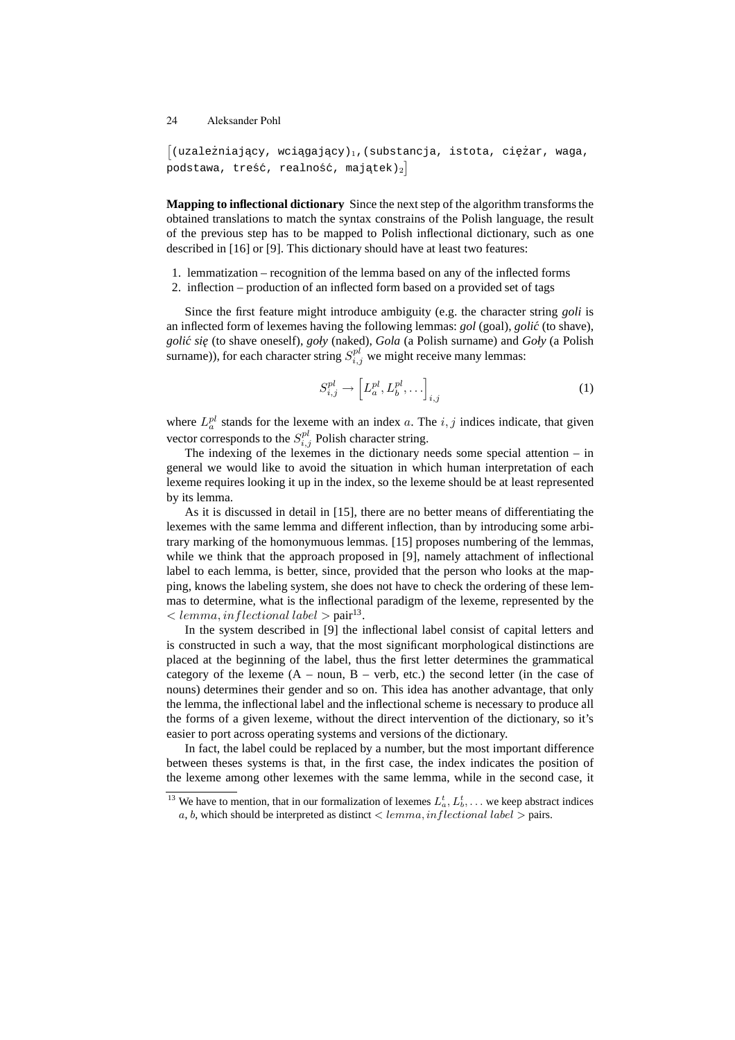```
[(uzależniający, wciągający)1, (substancja, istota, ciężar, waga,
\frac{1}{\text{podstawa}}, treść, realność, majątek)_2\big]
```
**Mapping to inflectional dictionary** Since the next step of the algorithm transforms the obtained translations to match the syntax constrains of the Polish language, the result of the previous step has to be mapped to Polish inflectional dictionary, such as one described in [16] or [9]. This dictionary should have at least two features:

- 1. lemmatization recognition of the lemma based on any of the inflected forms
- 2. inflection production of an inflected form based on a provided set of tags

Since the first feature might introduce ambiguity (e.g. the character string *goli* is an inflected form of lexemes having the following lemmas: *gol* (goal), *golić* (to shave), *goli´c si˛e* (to shave oneself), *goły* (naked), *Gola* (a Polish surname) and *Goły* (a Polish surname)), for each character string  $S_{i,j}^{pl}$  we might receive many lemmas:

$$
S_{i,j}^{pl} \rightarrow \left[ L_a^{pl}, L_b^{pl}, \ldots \right]_{i,j} \tag{1}
$$

where  $L_a^{pl}$  stands for the lexeme with an index a. The i, j indices indicate, that given vector corresponds to the  $S_{i,j}^{pl}$  Polish character string.

The indexing of the lexemes in the dictionary needs some special attention  $-$  in general we would like to avoid the situation in which human interpretation of each lexeme requires looking it up in the index, so the lexeme should be at least represented by its lemma.

As it is discussed in detail in [15], there are no better means of differentiating the lexemes with the same lemma and different inflection, than by introducing some arbitrary marking of the homonymuous lemmas. [15] proposes numbering of the lemmas, while we think that the approach proposed in [9], namely attachment of inflectional label to each lemma, is better, since, provided that the person who looks at the mapping, knows the labeling system, she does not have to check the ordering of these lemmas to determine, what is the inflectional paradigm of the lexeme, represented by the  $\langle$  lemma, inflectional label  $>$  pair<sup>13</sup>.

In the system described in [9] the inflectional label consist of capital letters and is constructed in such a way, that the most significant morphological distinctions are placed at the beginning of the label, thus the first letter determines the grammatical category of the lexeme  $(A - noun, B - verb, etc.)$  the second letter (in the case of nouns) determines their gender and so on. This idea has another advantage, that only the lemma, the inflectional label and the inflectional scheme is necessary to produce all the forms of a given lexeme, without the direct intervention of the dictionary, so it's easier to port across operating systems and versions of the dictionary.

In fact, the label could be replaced by a number, but the most important difference between theses systems is that, in the first case, the index indicates the position of the lexeme among other lexemes with the same lemma, while in the second case, it

<sup>&</sup>lt;sup>13</sup> We have to mention, that in our formalization of lexemes  $L_a^t, L_b^t, \ldots$  we keep abstract indices  $a, b$ , which should be interpreted as distinct  $\langle$  lemma, inflectional label  $>$  pairs.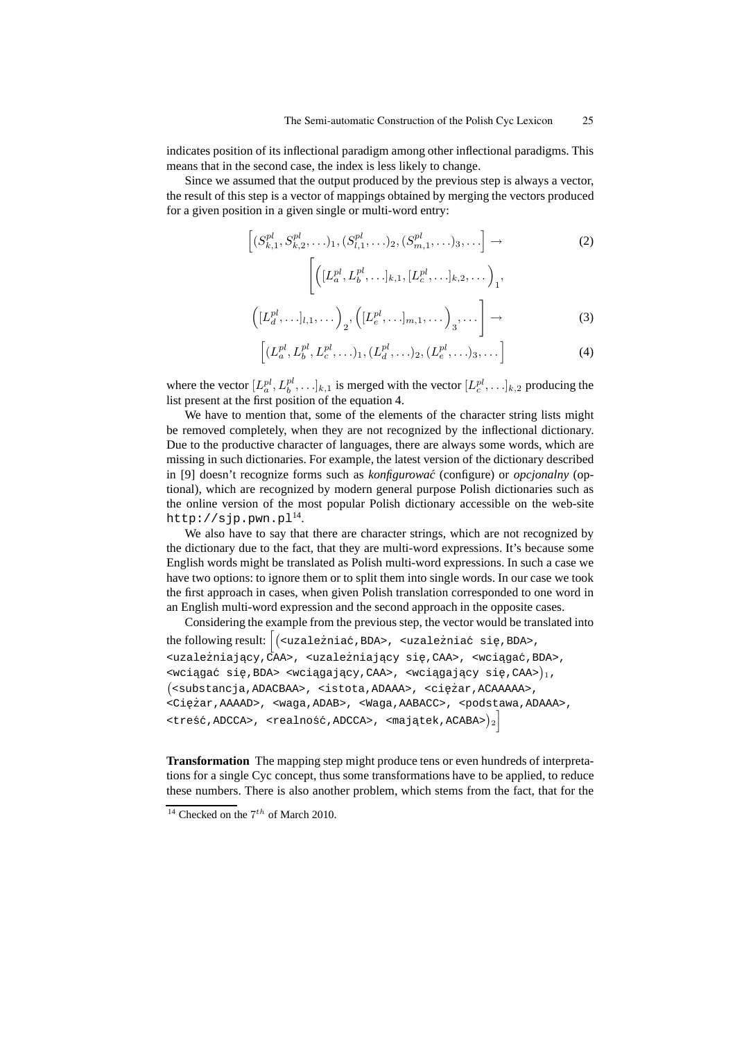indicates position of its inflectional paradigm among other inflectional paradigms. This means that in the second case, the index is less likely to change.

Since we assumed that the output produced by the previous step is always a vector, the result of this step is a vector of mappings obtained by merging the vectors produced for a given position in a given single or multi-word entry:

$$
\left[ (S_{k,1}^{pl}, S_{k,2}^{pl}, \ldots)_{1}, (S_{l,1}^{pl}, \ldots)_{2}, (S_{m,1}^{pl}, \ldots)_{3}, \ldots \right] \rightarrow \tag{2}
$$
\n
$$
\left[ \left( [L_{a}^{pl}, L_{b}^{pl}, \ldots]_{k,1}, [L_{c}^{pl}, \ldots]_{k,2}, \ldots \right)_{1}, \left( [L_{d}^{pl}, \ldots]_{l,1}, \ldots \right)_{2}, \left( [L_{e}^{pl}, \ldots]_{m,1}, \ldots \right)_{3}, \ldots \right] \rightarrow \tag{3}
$$

$$
\left[ (L_a^{pl}, L_b^{pl}, L_c^{pl}, \ldots)_1, (L_d^{pl}, \ldots)_2, (L_e^{pl}, \ldots)_3, \ldots \right]
$$
 (4)

where the vector  $[L_a^{pl}, L_b^{pl}, \ldots]_{k,1}$  is merged with the vector  $[L_c^{pl}, \ldots]_{k,2}$  producing the list present at the first position of the equation 4.

We have to mention that, some of the elements of the character string lists might be removed completely, when they are not recognized by the inflectional dictionary. Due to the productive character of languages, there are always some words, which are missing in such dictionaries. For example, the latest version of the dictionary described in [9] doesn't recognize forms such as *konfigurować* (configure) or *opcjonalny* (optional), which are recognized by modern general purpose Polish dictionaries such as the online version of the most popular Polish dictionary accessible on the web-site  $http://sjp.pwn.pl<sup>14</sup>.$ 

We also have to say that there are character strings, which are not recognized by the dictionary due to the fact, that they are multi-word expressions. It's because some English words might be translated as Polish multi-word expressions. In such a case we have two options: to ignore them or to split them into single words. In our case we took the first approach in cases, when given Polish translation corresponded to one word in an English multi-word expression and the second approach in the opposite cases.

```
Considering the example from the previous step, the vector would be translated into
the following result: \Bigl[(<uzależniać,BDA>, <uzależniać się,BDA>,
<uzależniający, CAA>, <uzależniający się, CAA>, <wciągać, BDA>,
\alphaewci agać się, BDA> \alphaei agający, CAA>, \alphawci agający się, CAA>)<sub>1</sub>,

<substancja,ADACBAA>, <istota,ADAAA>, <ci˛e˙zar,ACAAAAA>,
<Ci˛e˙zar,AAAAD>, <waga,ADAB>, <Waga,AABACC>, <podstawa,ADAAA>,
<treść,ADCCA>, <realność,ADCCA>, <majątek,ACABA>)<sub>2</sub>
```
**Transformation** The mapping step might produce tens or even hundreds of interpretations for a single Cyc concept, thus some transformations have to be applied, to reduce these numbers. There is also another problem, which stems from the fact, that for the

<sup>&</sup>lt;sup>14</sup> Checked on the  $7<sup>th</sup>$  of March 2010.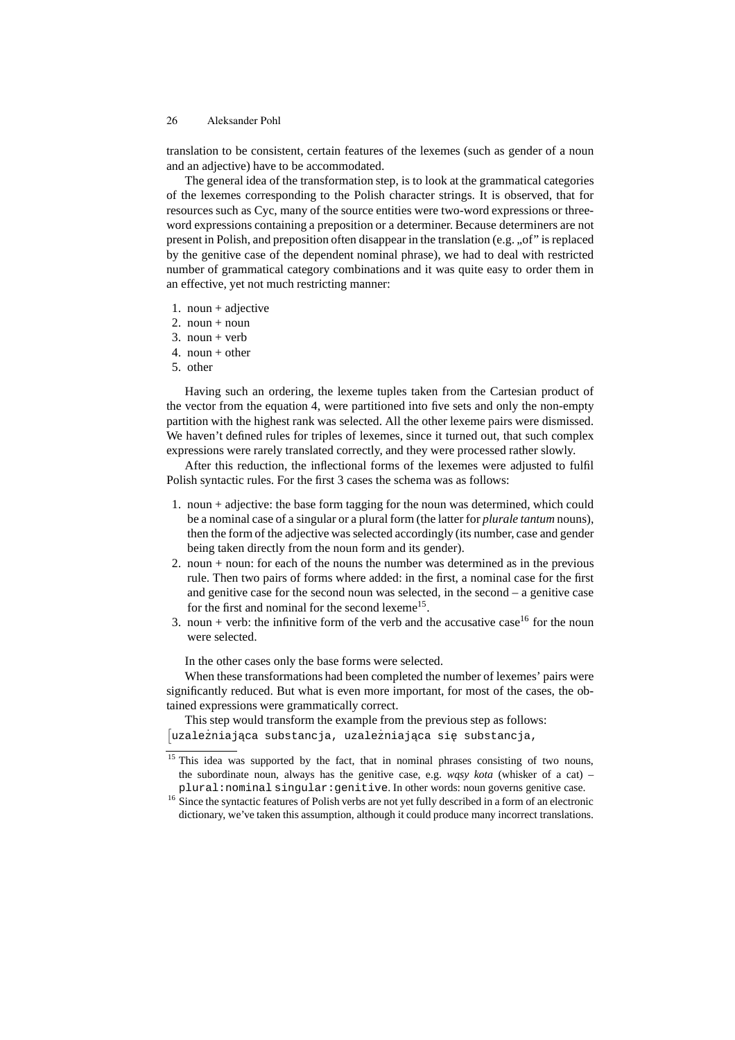translation to be consistent, certain features of the lexemes (such as gender of a noun and an adjective) have to be accommodated.

The general idea of the transformation step, is to look at the grammatical categories of the lexemes corresponding to the Polish character strings. It is observed, that for resources such as Cyc, many of the source entities were two-word expressions or threeword expressions containing a preposition or a determiner. Because determiners are not present in Polish, and preposition often disappear in the translation (e.g.  $, 0$ ; of" is replaced by the genitive case of the dependent nominal phrase), we had to deal with restricted number of grammatical category combinations and it was quite easy to order them in an effective, yet not much restricting manner:

- 1. noun + adjective
- 2.  $noun + noun$
- $3.$  noun + verb
- 4. noun + other
- 5. other

Having such an ordering, the lexeme tuples taken from the Cartesian product of the vector from the equation 4, were partitioned into five sets and only the non-empty partition with the highest rank was selected. All the other lexeme pairs were dismissed. We haven't defined rules for triples of lexemes, since it turned out, that such complex expressions were rarely translated correctly, and they were processed rather slowly.

After this reduction, the inflectional forms of the lexemes were adjusted to fulfil Polish syntactic rules. For the first 3 cases the schema was as follows:

- 1. noun + adjective: the base form tagging for the noun was determined, which could be a nominal case of a singular or a plural form (the latter for *plurale tantum* nouns), then the form of the adjective was selected accordingly (its number, case and gender being taken directly from the noun form and its gender).
- 2. noun + noun: for each of the nouns the number was determined as in the previous rule. Then two pairs of forms where added: in the first, a nominal case for the first and genitive case for the second noun was selected, in the second – a genitive case for the first and nominal for the second lexeme<sup>15</sup>.
- 3. noun + verb: the infinitive form of the verb and the accusative case<sup>16</sup> for the noun were selected.

In the other cases only the base forms were selected.

When these transformations had been completed the number of lexemes' pairs were significantly reduced. But what is even more important, for most of the cases, the obtained expressions were grammatically correct.

This step would transform the example from the previous step as follows: uzależniająca substancja, uzależniająca się substancja,

<sup>15</sup> This idea was supported by the fact, that in nominal phrases consisting of two nouns, the subordinate noun, always has the genitive case, e.g. *wasy kota* (whisker of a cat) plural:nominal singular:genitive. In other words: noun governs genitive case.

<sup>16</sup> Since the syntactic features of Polish verbs are not yet fully described in a form of an electronic dictionary, we've taken this assumption, although it could produce many incorrect translations.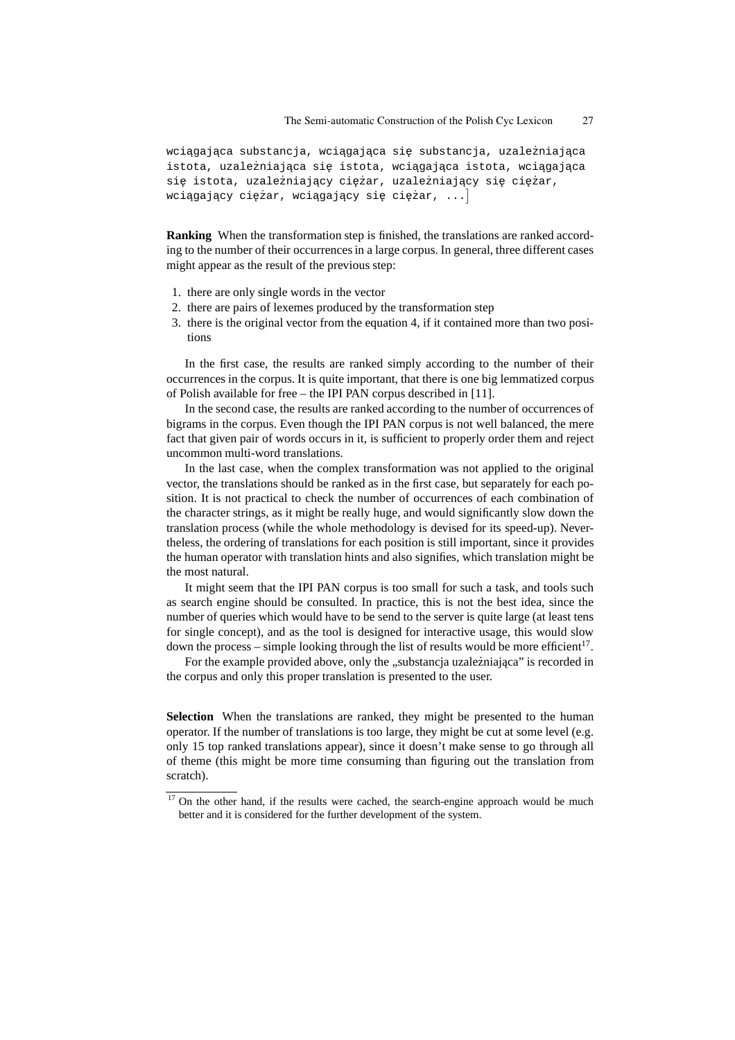wciągająca substancja, wciągająca się substancja, uzależniająca istota, uzależniająca sie istota, wciągająca istota, wciągająca się istota, uzależniający ciężar, uzależniający się ciężar, wciągający ciężar, wciągający się ciężar, ...

**Ranking** When the transformation step is finished, the translations are ranked according to the number of their occurrences in a large corpus. In general, three different cases might appear as the result of the previous step:

- 1. there are only single words in the vector
- 2. there are pairs of lexemes produced by the transformation step
- 3. there is the original vector from the equation 4, if it contained more than two positions

In the first case, the results are ranked simply according to the number of their occurrences in the corpus. It is quite important, that there is one big lemmatized corpus of Polish available for free – the IPI PAN corpus described in [11].

In the second case, the results are ranked according to the number of occurrences of bigrams in the corpus. Even though the IPI PAN corpus is not well balanced, the mere fact that given pair of words occurs in it, is sufficient to properly order them and reject uncommon multi-word translations.

In the last case, when the complex transformation was not applied to the original vector, the translations should be ranked as in the first case, but separately for each position. It is not practical to check the number of occurrences of each combination of the character strings, as it might be really huge, and would significantly slow down the translation process (while the whole methodology is devised for its speed-up). Nevertheless, the ordering of translations for each position is still important, since it provides the human operator with translation hints and also signifies, which translation might be the most natural.

It might seem that the IPI PAN corpus is too small for such a task, and tools such as search engine should be consulted. In practice, this is not the best idea, since the number of queries which would have to be send to the server is quite large (at least tens for single concept), and as the tool is designed for interactive usage, this would slow down the process – simple looking through the list of results would be more efficient<sup>17</sup>.

For the example provided above, only the "substancja uzależniająca" is recorded in the corpus and only this proper translation is presented to the user.

**Selection** When the translations are ranked, they might be presented to the human operator. If the number of translations is too large, they might be cut at some level (e.g. only 15 top ranked translations appear), since it doesn't make sense to go through all of theme (this might be more time consuming than figuring out the translation from scratch).

On the other hand, if the results were cached, the search-engine approach would be much better and it is considered for the further development of the system.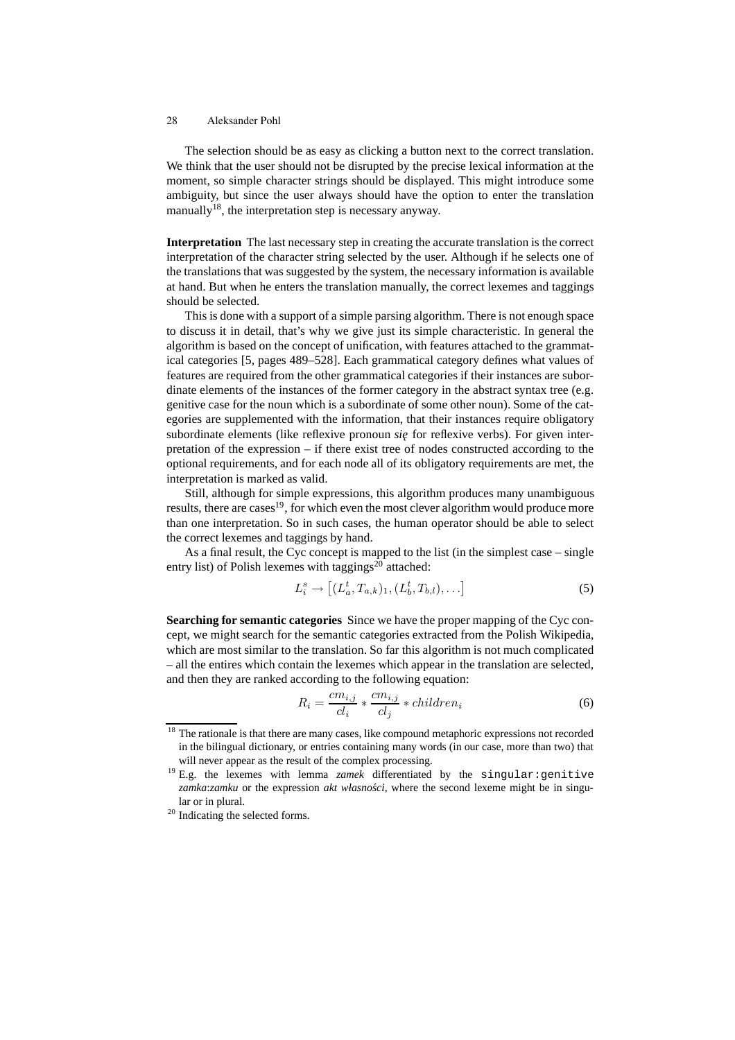The selection should be as easy as clicking a button next to the correct translation. We think that the user should not be disrupted by the precise lexical information at the moment, so simple character strings should be displayed. This might introduce some ambiguity, but since the user always should have the option to enter the translation manually<sup>18</sup>, the interpretation step is necessary anyway.

**Interpretation** The last necessary step in creating the accurate translation is the correct interpretation of the character string selected by the user. Although if he selects one of the translations that was suggested by the system, the necessary information is available at hand. But when he enters the translation manually, the correct lexemes and taggings should be selected.

This is done with a support of a simple parsing algorithm. There is not enough space to discuss it in detail, that's why we give just its simple characteristic. In general the algorithm is based on the concept of unification, with features attached to the grammatical categories [5, pages 489–528]. Each grammatical category defines what values of features are required from the other grammatical categories if their instances are subordinate elements of the instances of the former category in the abstract syntax tree (e.g. genitive case for the noun which is a subordinate of some other noun). Some of the categories are supplemented with the information, that their instances require obligatory subordinate elements (like reflexive pronoun *się* for reflexive verbs). For given interpretation of the expression – if there exist tree of nodes constructed according to the optional requirements, and for each node all of its obligatory requirements are met, the interpretation is marked as valid.

Still, although for simple expressions, this algorithm produces many unambiguous results, there are cases<sup>19</sup>, for which even the most clever algorithm would produce more than one interpretation. So in such cases, the human operator should be able to select the correct lexemes and taggings by hand.

As a final result, the Cyc concept is mapped to the list (in the simplest case – single entry list) of Polish lexemes with taggings $^{20}$  attached:

$$
L_i^s \to \left[ (L_a^t, T_{a,k})_1, (L_b^t, T_{b,l}), \ldots \right] \tag{5}
$$

**Searching for semantic categories** Since we have the proper mapping of the Cyc concept, we might search for the semantic categories extracted from the Polish Wikipedia, which are most similar to the translation. So far this algorithm is not much complicated – all the entires which contain the lexemes which appear in the translation are selected, and then they are ranked according to the following equation:

$$
R_i = \frac{cm_{i,j}}{cl_i} * \frac{cm_{i,j}}{cl_j} * children_i
$$
 (6)

<sup>18</sup> The rationale is that there are many cases, like compound metaphoric expressions not recorded in the bilingual dictionary, or entries containing many words (in our case, more than two) that will never appear as the result of the complex processing.

<sup>19</sup> E.g. the lexemes with lemma *zamek* differentiated by the singular:genitive zamka:*zamku* or the expression *akt własności*, where the second lexeme might be in singular or in plural.

<sup>&</sup>lt;sup>20</sup> Indicating the selected forms.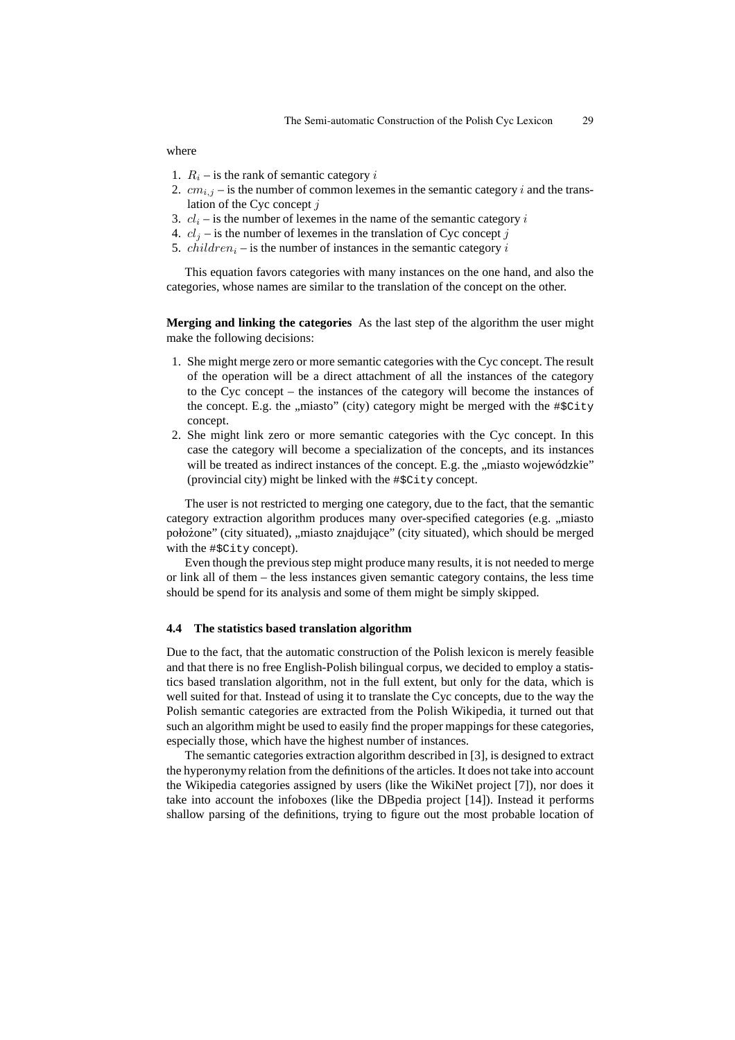#### where

- 1.  $R_i$  is the rank of semantic category i
- 2.  $cm_{i,j}$  is the number of common lexemes in the semantic category i and the translation of the Cyc concept  $j$
- 3.  $cl_i$  is the number of lexemes in the name of the semantic category i
- 4.  $cl<sub>j</sub>$  is the number of lexemes in the translation of Cyc concept j
- 5.  $children_i is$  the number of instances in the semantic category i

This equation favors categories with many instances on the one hand, and also the categories, whose names are similar to the translation of the concept on the other.

**Merging and linking the categories** As the last step of the algorithm the user might make the following decisions:

- 1. She might merge zero or more semantic categories with the Cyc concept. The result of the operation will be a direct attachment of all the instances of the category to the Cyc concept – the instances of the category will become the instances of the concept. E.g. the "miasto" (city) category might be merged with the  $\#$ \$City concept.
- 2. She might link zero or more semantic categories with the Cyc concept. In this case the category will become a specialization of the concepts, and its instances will be treated as indirect instances of the concept. E.g. the "miasto wojewódzkie" (provincial city) might be linked with the #\$City concept.

The user is not restricted to merging one category, due to the fact, that the semantic category extraction algorithm produces many over-specified categories (e.g. , miasto położone" (city situated), "miasto znajdujące" (city situated), which should be merged with the #\$City concept).

Even though the previous step might produce many results, it is not needed to merge or link all of them – the less instances given semantic category contains, the less time should be spend for its analysis and some of them might be simply skipped.

#### **4.4 The statistics based translation algorithm**

Due to the fact, that the automatic construction of the Polish lexicon is merely feasible and that there is no free English-Polish bilingual corpus, we decided to employ a statistics based translation algorithm, not in the full extent, but only for the data, which is well suited for that. Instead of using it to translate the Cyc concepts, due to the way the Polish semantic categories are extracted from the Polish Wikipedia, it turned out that such an algorithm might be used to easily find the proper mappings for these categories, especially those, which have the highest number of instances.

The semantic categories extraction algorithm described in [3], is designed to extract the hyperonymy relation from the definitions of the articles. It does not take into account the Wikipedia categories assigned by users (like the WikiNet project [7]), nor does it take into account the infoboxes (like the DBpedia project [14]). Instead it performs shallow parsing of the definitions, trying to figure out the most probable location of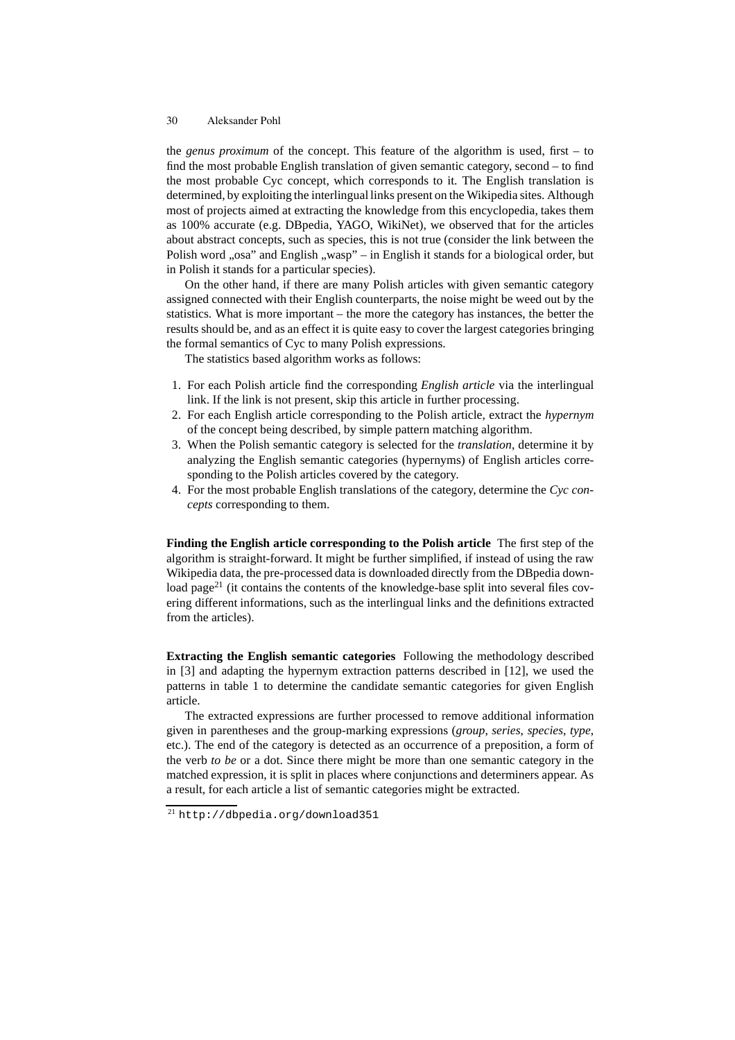the *genus proximum* of the concept. This feature of the algorithm is used, first – to find the most probable English translation of given semantic category, second – to find the most probable Cyc concept, which corresponds to it. The English translation is determined, by exploiting the interlingual links present on the Wikipedia sites. Although most of projects aimed at extracting the knowledge from this encyclopedia, takes them as 100% accurate (e.g. DBpedia, YAGO, WikiNet), we observed that for the articles about abstract concepts, such as species, this is not true (consider the link between the Polish word "osa" and English "wasp" – in English it stands for a biological order, but in Polish it stands for a particular species).

On the other hand, if there are many Polish articles with given semantic category assigned connected with their English counterparts, the noise might be weed out by the statistics. What is more important – the more the category has instances, the better the results should be, and as an effect it is quite easy to cover the largest categories bringing the formal semantics of Cyc to many Polish expressions.

The statistics based algorithm works as follows:

- 1. For each Polish article find the corresponding *English article* via the interlingual link. If the link is not present, skip this article in further processing.
- 2. For each English article corresponding to the Polish article, extract the *hypernym* of the concept being described, by simple pattern matching algorithm.
- 3. When the Polish semantic category is selected for the *translation*, determine it by analyzing the English semantic categories (hypernyms) of English articles corresponding to the Polish articles covered by the category.
- 4. For the most probable English translations of the category, determine the *Cyc concepts* corresponding to them.

**Finding the English article corresponding to the Polish article** The first step of the algorithm is straight-forward. It might be further simplified, if instead of using the raw Wikipedia data, the pre-processed data is downloaded directly from the DBpedia download page<sup>21</sup> (it contains the contents of the knowledge-base split into several files covering different informations, such as the interlingual links and the definitions extracted from the articles).

**Extracting the English semantic categories** Following the methodology described in [3] and adapting the hypernym extraction patterns described in [12], we used the patterns in table 1 to determine the candidate semantic categories for given English article.

The extracted expressions are further processed to remove additional information given in parentheses and the group-marking expressions (*group*, *series*, *species*, *type*, etc.). The end of the category is detected as an occurrence of a preposition, a form of the verb *to be* or a dot. Since there might be more than one semantic category in the matched expression, it is split in places where conjunctions and determiners appear. As a result, for each article a list of semantic categories might be extracted.

<sup>21</sup> http://dbpedia.org/download351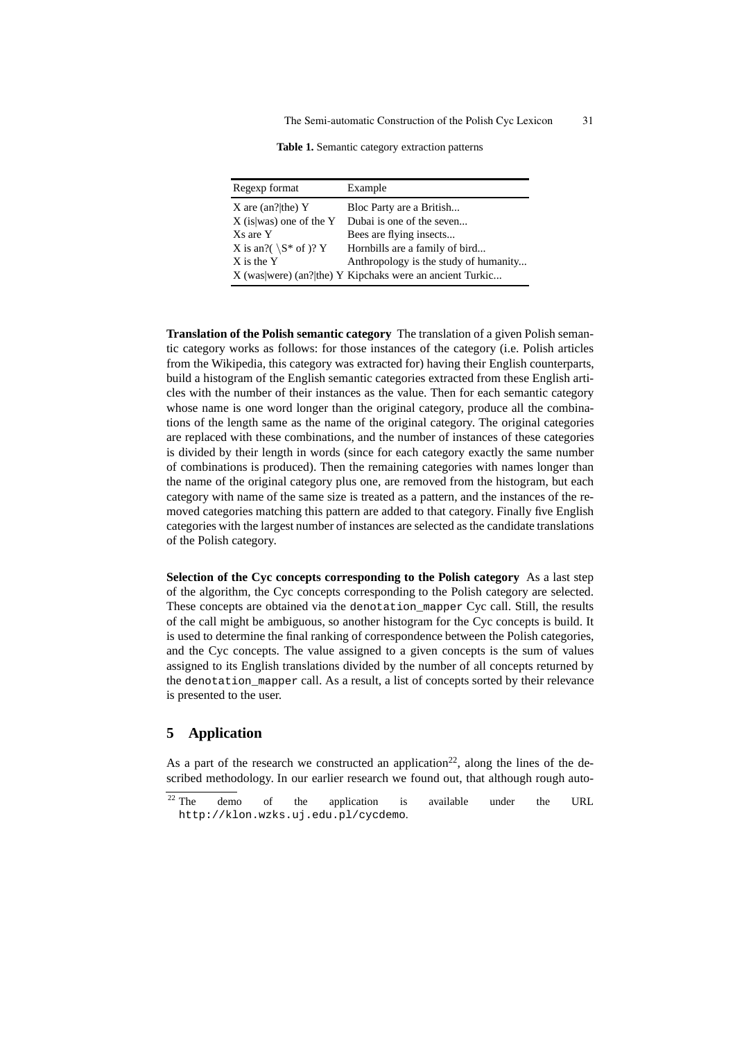| Regexp format                                                                                         | Example                                                                                                                                                                                                                 |
|-------------------------------------------------------------------------------------------------------|-------------------------------------------------------------------------------------------------------------------------------------------------------------------------------------------------------------------------|
| $X$ are (an? the) Y<br>$X$ (is was) one of the Y<br>Xs are Y<br>X is an?( $\S*$ of )? Y<br>X is the Y | Bloc Party are a British<br>Dubai is one of the seven<br>Bees are flying insects<br>Hornbills are a family of bird<br>Anthropology is the study of humanity<br>X (was were) (an? the) Y Kipchaks were an ancient Turkic |

**Table 1.** Semantic category extraction patterns

**Translation of the Polish semantic category** The translation of a given Polish semantic category works as follows: for those instances of the category (i.e. Polish articles from the Wikipedia, this category was extracted for) having their English counterparts, build a histogram of the English semantic categories extracted from these English articles with the number of their instances as the value. Then for each semantic category whose name is one word longer than the original category, produce all the combinations of the length same as the name of the original category. The original categories are replaced with these combinations, and the number of instances of these categories is divided by their length in words (since for each category exactly the same number of combinations is produced). Then the remaining categories with names longer than the name of the original category plus one, are removed from the histogram, but each category with name of the same size is treated as a pattern, and the instances of the removed categories matching this pattern are added to that category. Finally five English categories with the largest number of instances are selected as the candidate translations of the Polish category.

**Selection of the Cyc concepts corresponding to the Polish category** As a last step of the algorithm, the Cyc concepts corresponding to the Polish category are selected. These concepts are obtained via the denotation\_mapper Cyc call. Still, the results of the call might be ambiguous, so another histogram for the Cyc concepts is build. It is used to determine the final ranking of correspondence between the Polish categories, and the Cyc concepts. The value assigned to a given concepts is the sum of values assigned to its English translations divided by the number of all concepts returned by the denotation\_mapper call. As a result, a list of concepts sorted by their relevance is presented to the user.

# **5 Application**

As a part of the research we constructed an application<sup>22</sup>, along the lines of the described methodology. In our earlier research we found out, that although rough auto-

 $22$  The demo of the application is available under the URL http://klon.wzks.uj.edu.pl/cycdemo.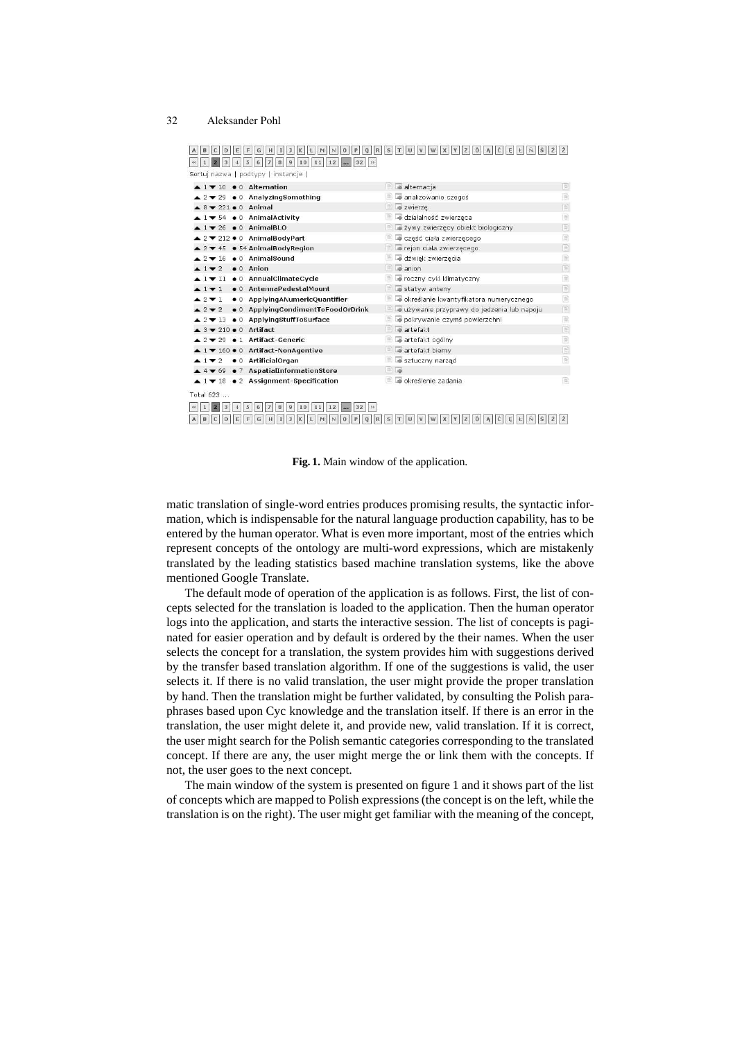| 12<br>32<br>$35$                                                                |                                           |                |
|---------------------------------------------------------------------------------|-------------------------------------------|----------------|
| Sortuj nazwa   podtypy   instancje                                              |                                           |                |
| $\triangle$ 1 $\blacktriangledown$ 10 $\bullet$ 0 Alternation                   | alternacja                                | B              |
| $\triangle$ 2 $\blacktriangledown$ 29 $\bullet$ 0 AnalyzingSomething            | analizowanie czegoś                       | B              |
| $8 \blacktriangleright 221 \blacktriangleright 0$ Animal                        | zwierzę<br>n                              | 圖              |
| $\triangle$ 1 $\blacktriangledown$ 54 $\bullet$ 0 AnimalActivity                | działalność zwierzęca                     | T6             |
| $\triangle$ 1 $\blacktriangledown$ 26 $\bullet$ 0 AnimalBLO                     | E żywy zwierzęcy obiekt biologiczny       | 目              |
| ▲ 2 V 212 ● 0 AnimalBodyPart                                                    | część ciała zwierzęcego                   | e              |
| ▲ 2 ▼ 45 ● 54 AnimalBodyRegion                                                  | la rejon ciała zwierzęcego                | B              |
| $\triangle$ 2 $\blacktriangledown$ 16 $\bullet$ 0 AnimalSound                   | dźwięk zwierzęcia                         | $\mathbb{R}$   |
| $0$ Anion<br>$\triangle$ 1 $\blacktriangledown$ 2                               | $\Rightarrow$ anion                       | 面              |
| $\triangle$ 1 $\blacktriangleright$ 11 $\bullet$ 0 Annual Climate Cycle         | To roczny cykl klimatyczny                | B              |
| • 0 AntennaPedestalMount<br>$1 + 1$                                             | statyw anteny<br>圖                        | <sup>[6]</sup> |
| • 0 ApplyingANumericQuantifier<br>$\triangle$ 2 $\blacktriangledown$ 1          | określanie kwantyfikatora numerycznego    | B              |
| . 0 ApplyingCondimentToFoodOrDrink<br>272                                       | używanie przyprawy do jedzenia lub napoju | 目              |
| ▲ 2 ▼ 13 ● 0 ApplyingStuffToSurface                                             | pokrywanie czymś powierzchni              | $\frac{1}{2}$  |
| $\triangle$ 3 $\blacktriangledown$ 210 $\bullet$ 0 Artifact                     | artefakt                                  | D              |
| $\triangle$ 2 $\blacktriangledown$ 29 $\bullet$ 1 Artifact-Generic              | artefakt ogólny                           | e              |
| ▲ 1 ▼ 160 ● 0 Artifact-NonAgentive                                              | artefakt bierny                           | B              |
| · 0 ArtificialOrgan<br>$\triangle$ 1 $\blacktriangledown$ 2                     | sztuczny narząd                           | B              |
| $\triangle$ 4 $\blacktriangledown$ 69 $\bullet$ 7 AspatialInformationStore      | $\Rightarrow$ $\Box$                      |                |
| $\blacktriangle$ 1 $\blacktriangledown$ 18 $\bullet$ 2 Assignment-Specification | określenie zadania                        | 画              |
| Total 623                                                                       |                                           |                |
| 12<br>32<br>9<br>10<br>8                                                        |                                           |                |

**Fig. 1.** Main window of the application.

matic translation of single-word entries produces promising results, the syntactic information, which is indispensable for the natural language production capability, has to be entered by the human operator. What is even more important, most of the entries which represent concepts of the ontology are multi-word expressions, which are mistakenly translated by the leading statistics based machine translation systems, like the above mentioned Google Translate.

The default mode of operation of the application is as follows. First, the list of concepts selected for the translation is loaded to the application. Then the human operator logs into the application, and starts the interactive session. The list of concepts is paginated for easier operation and by default is ordered by the their names. When the user selects the concept for a translation, the system provides him with suggestions derived by the transfer based translation algorithm. If one of the suggestions is valid, the user selects it. If there is no valid translation, the user might provide the proper translation by hand. Then the translation might be further validated, by consulting the Polish paraphrases based upon Cyc knowledge and the translation itself. If there is an error in the translation, the user might delete it, and provide new, valid translation. If it is correct, the user might search for the Polish semantic categories corresponding to the translated concept. If there are any, the user might merge the or link them with the concepts. If not, the user goes to the next concept.

The main window of the system is presented on figure 1 and it shows part of the list of concepts which are mapped to Polish expressions (the concept is on the left, while the translation is on the right). The user might get familiar with the meaning of the concept,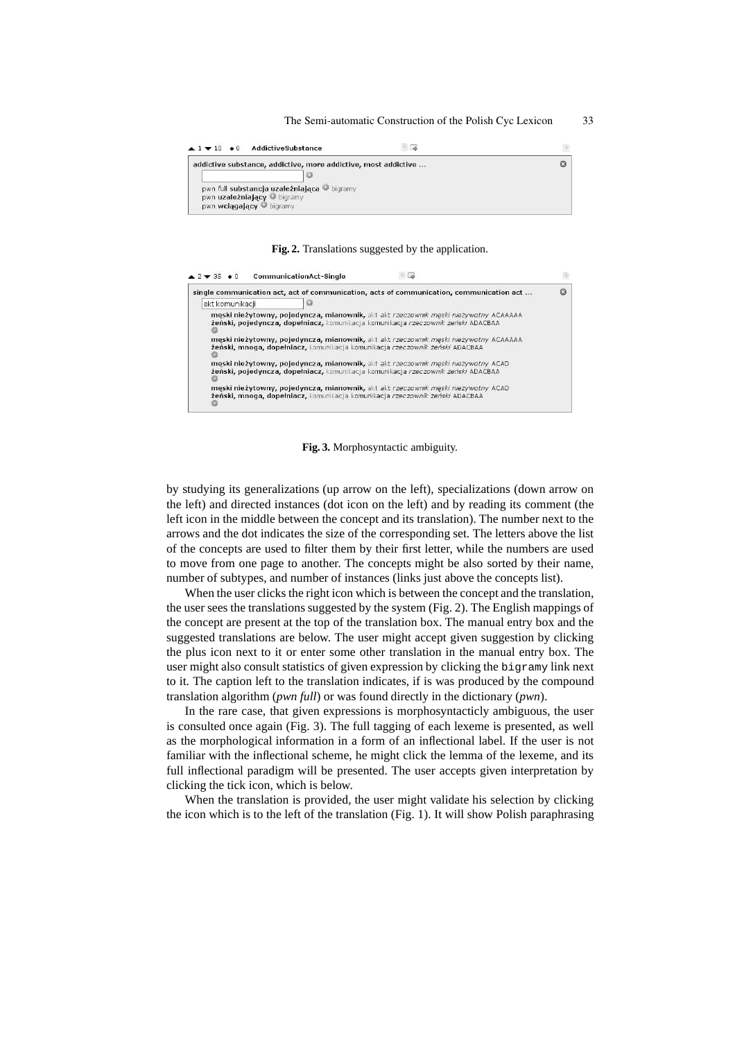

#### **Fig. 2.** Translations suggested by the application.

| <b>CommunicationAct-Single</b><br>$\triangle$ 2 $\blacktriangledown$ 35 $\bullet$ 0                                                                                       |  |
|---------------------------------------------------------------------------------------------------------------------------------------------------------------------------|--|
| single communication act, act of communication, acts of communication, communication act                                                                                  |  |
| akt komunikacji                                                                                                                                                           |  |
| meski nieżytowny, pojedyncza, mianownik, akt akt rzeczownik męski nieżywotny ACAAAAA<br>zeński, pojedyncza, dopełniacz, komunikacja komunikacja rzeczownik żeński ADACBAA |  |
| meski nieżytowny, pojedyncza, mianownik, akt akt rzeczownik męski nieżywotny ACAAAAA<br>zeński, mnoga, dopełniacz, komunikacja komunikacja rzeczownik żeński ADACBAA      |  |
| męski nieżytowny, pojedyncza, mianownik, akt akt rzeczownik męski nieżywotny ACAD<br>żeński, pojedyncza, dopełniacz, komunikacja komunikacja rzeczownik żeński ADACBAA    |  |
| meski nieżytowny, pojedyncza, mianownik, akt akt rzeczownik meski nieżywotny ACAD<br>żeński, mnoga, dopełniacz, komunikacja komunikacja rzeczownik żeński ADACBAA         |  |

**Fig. 3.** Morphosyntactic ambiguity.

by studying its generalizations (up arrow on the left), specializations (down arrow on the left) and directed instances (dot icon on the left) and by reading its comment (the left icon in the middle between the concept and its translation). The number next to the arrows and the dot indicates the size of the corresponding set. The letters above the list of the concepts are used to filter them by their first letter, while the numbers are used to move from one page to another. The concepts might be also sorted by their name, number of subtypes, and number of instances (links just above the concepts list).

When the user clicks the right icon which is between the concept and the translation, the user sees the translations suggested by the system (Fig. 2). The English mappings of the concept are present at the top of the translation box. The manual entry box and the suggested translations are below. The user might accept given suggestion by clicking the plus icon next to it or enter some other translation in the manual entry box. The user might also consult statistics of given expression by clicking the bigramy link next to it. The caption left to the translation indicates, if is was produced by the compound translation algorithm (*pwn full*) or was found directly in the dictionary (*pwn*).

In the rare case, that given expressions is morphosyntacticly ambiguous, the user is consulted once again (Fig. 3). The full tagging of each lexeme is presented, as well as the morphological information in a form of an inflectional label. If the user is not familiar with the inflectional scheme, he might click the lemma of the lexeme, and its full inflectional paradigm will be presented. The user accepts given interpretation by clicking the tick icon, which is below.

When the translation is provided, the user might validate his selection by clicking the icon which is to the left of the translation (Fig. 1). It will show Polish paraphrasing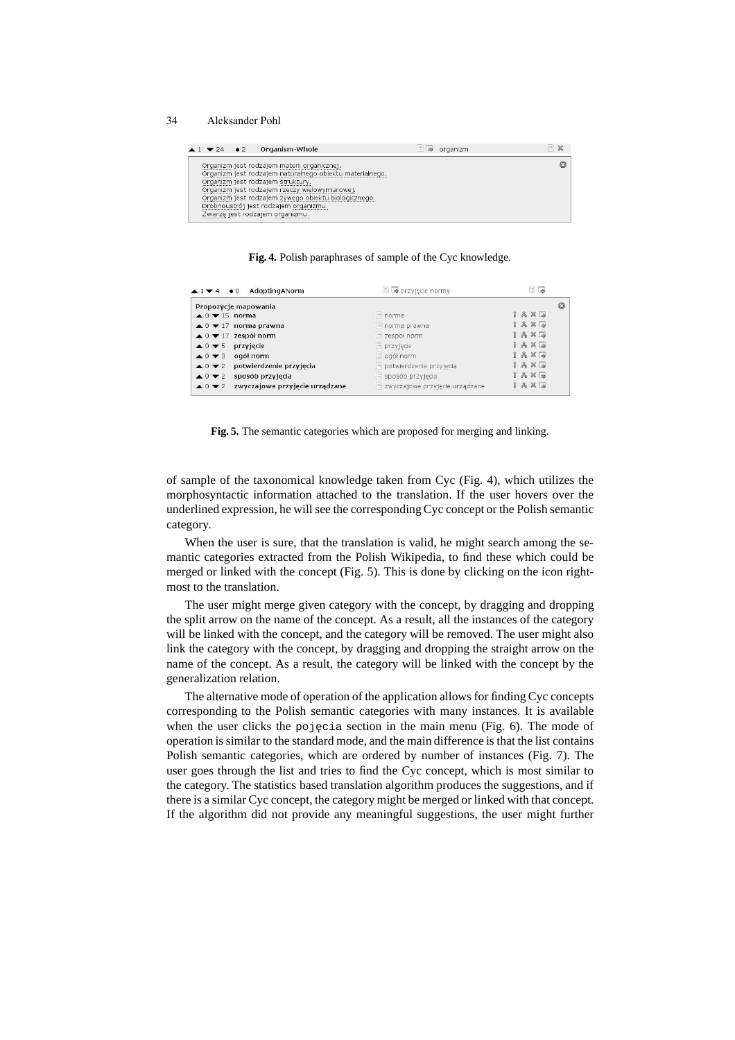| ය |
|---|
|   |
|   |
|   |
|   |
|   |
|   |
|   |

**Fig. 4.** Polish paraphrases of sample of the Cyc knowledge.

| przyjęcie normy                | n R                                |
|--------------------------------|------------------------------------|
|                                | O                                  |
| $\equiv$ norma                 | ↑ 高 ※ 国                            |
| norma prawna                   | 自高翼国                               |
| zespół norm                    | 1 高 ※ ■                            |
| przyjęcie                      | ↑ 各 ※ →                            |
| ogół norm                      | 1 高 ※ 国                            |
| potwierdzenie przyjęcia        | $1 A X -$                          |
| sposób przyjęcia               | $i \wedge x$                       |
| zwyczajowe przyjęcie urządzane | $i$ $\land$ $\times$ $\Rightarrow$ |
|                                |                                    |

**Fig. 5.** The semantic categories which are proposed for merging and linking.

of sample of the taxonomical knowledge taken from Cyc (Fig. 4), which utilizes the morphosyntactic information attached to the translation. If the user hovers over the underlined expression, he will see the corresponding Cyc concept or the Polish semantic category.

When the user is sure, that the translation is valid, he might search among the semantic categories extracted from the Polish Wikipedia, to find these which could be merged or linked with the concept (Fig. 5). This is done by clicking on the icon rightmost to the translation.

The user might merge given category with the concept, by dragging and dropping the split arrow on the name of the concept. As a result, all the instances of the category will be linked with the concept, and the category will be removed. The user might also link the category with the concept, by dragging and dropping the straight arrow on the name of the concept. As a result, the category will be linked with the concept by the generalization relation.

The alternative mode of operation of the application allows for finding Cyc concepts corresponding to the Polish semantic categories with many instances. It is available when the user clicks the pojecia section in the main menu (Fig.  $6$ ). The mode of operation is similar to the standard mode, and the main difference is that the list contains Polish semantic categories, which are ordered by number of instances (Fig. 7). The user goes through the list and tries to find the Cyc concept, which is most similar to the category. The statistics based translation algorithm produces the suggestions, and if there is a similar Cyc concept, the category might be merged or linked with that concept. If the algorithm did not provide any meaningful suggestions, the user might further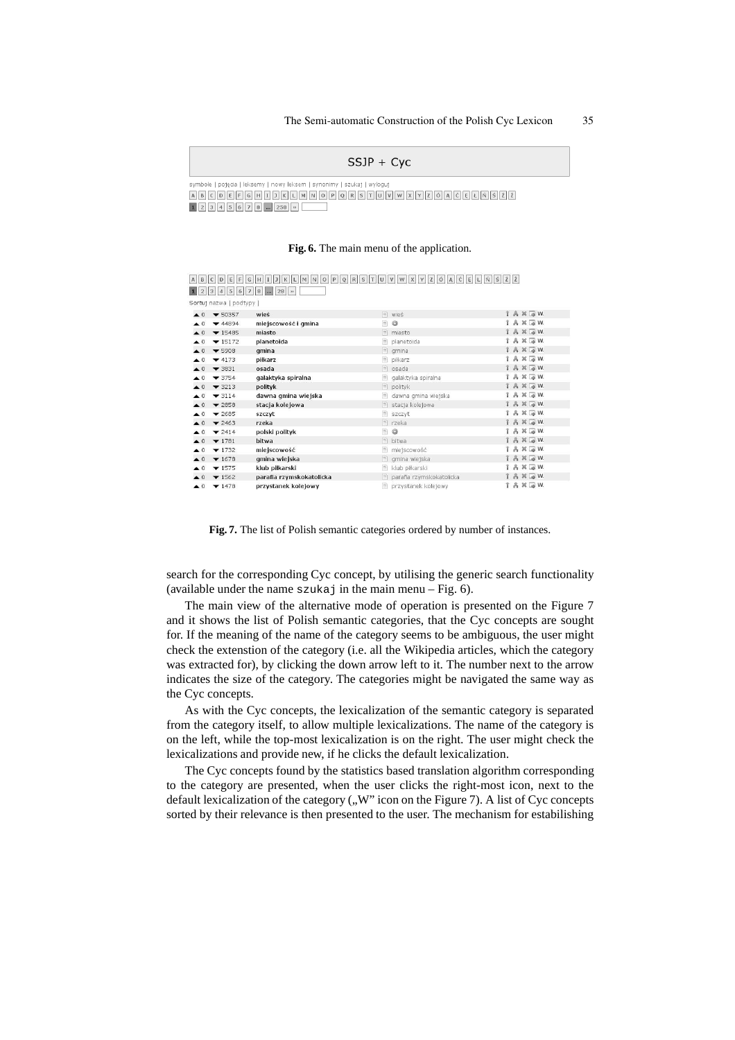| I       |         |
|---------|---------|
| ۰.<br>× | ۰,<br>× |

| SSJP + Cyc |  |  |
|------------|--|--|
|------------|--|--|

symbole | potecia | leksemy | nowy leksem | synonimy | szukat | wylogut ABCDEFGHIDKLMNOPQRSTUVWXYZOACEENS22  $1$  2 3 4 5 6 7 8  $\ldots$  258  $\omega$ 

#### **Fig. 6.** The main menu of the application.

| $\vert$ A<br>B           | $\overline{C}$<br>D<br>E<br>E<br>$\sqrt{G}$    | $\circ$<br>P<br>K<br>Q<br>L<br>M<br>N<br>H<br>л | X <br>$\overline{O}$<br>A<br>Ć<br>$R$ $S$<br>V<br>W<br> Y <br>Z<br> T <br>$\cup$ | $\hat{N}$ $\hat{Z}$ $\hat{Z}$<br>$E$ <sub>L</sub>      |
|--------------------------|------------------------------------------------|-------------------------------------------------|----------------------------------------------------------------------------------|--------------------------------------------------------|
| $1 \mid 2 \mid$          | $\vert$ 4<br> 5 <br>$\overline{7}$<br> 3 <br>6 | $8 \dots 28$ »                                  |                                                                                  |                                                        |
|                          | Sortuj nazwa   podtypy                         |                                                 |                                                                                  |                                                        |
| $\triangle$ 0            | $\times$ 50357                                 | wieś                                            | $\Rightarrow$<br>wieś                                                            | $1 \land X \Rightarrow W.$                             |
| $\triangle$ 0            | $+ 44894$                                      | miejscowość i gmina                             | $\Rightarrow$<br>$\circledcirc$                                                  | 高 X 国 W.                                               |
| $\triangle$ 0            | $\times 15485$                                 | miasto                                          | Ð<br>miasto                                                                      | 1 高 ※ 1m W.                                            |
| $\triangle$ 0            | $\blacktriangledown$ 15172                     | planetoida                                      | $\left  \frac{1}{n} \right\rangle$<br>planetoida                                 | 高 X 画 W.                                               |
| $\triangle$ 0            | $\times$ 5908                                  | gmina                                           | $\equiv$<br>amina                                                                | 高 X m W.<br>$\hat{1}$                                  |
| $\triangle$ 0            | $\blacktriangledown$ 4173                      | piłkarz                                         | 囼<br>piłkarz                                                                     | 高 X m W.<br>î.                                         |
| $\triangle$ 0            | $\blacktriangledown$ 3831                      | osada                                           | $\Box$<br>osada                                                                  | $1$ $\mathcal{A}$ $\times$ $\mathcal{A}$ $\times$      |
| $\triangle$ 0            | 73754                                          | galaktyka spiralna                              | ₿<br>galaktyka spiralna                                                          | $A \times W$                                           |
| $\triangle$ 0            | $\blacktriangledown$ 3213                      | polityk                                         | $\Rightarrow$<br>polityk                                                         | $1 \land X \cup W$                                     |
| $\triangle$ <sup>0</sup> | $\blacktriangledown$ 3114                      | dawna gmina wiejska                             | dawna gmina wiejska                                                              | 高 X 国 W.                                               |
| $\triangle$ 0            | $\times$ 2858                                  | stacja kolejowa                                 | B<br>stacja kolejowa                                                             | 1 高 ※ m W.                                             |
| $\triangle$ 0            | 72685                                          | szczyt                                          | 目<br>szczyt                                                                      | 高 X 画 W.                                               |
| $\triangle$ 0            | 72463                                          | rzeka                                           | 目<br>rzeka                                                                       | $1 \land X = W$ .                                      |
| $\triangle$ 0            | 72414                                          | polski polityk                                  | 囼<br>O                                                                           | 高 X m W.<br>î                                          |
| $\triangle$ 0            | $\blacktriangledown$ 1781                      | bitwa                                           | $\Box$<br>bitwa                                                                  | $I$ $A$ $X = W$ .                                      |
| $\triangle$ 0            | $\blacktriangledown$ 1732                      | miejscowość                                     | ₿<br>miejscowość                                                                 | 高 X ling W.                                            |
| $\triangle$ 0            | $\blacktriangledown$ 1678                      | gmina wiejska                                   | E<br>gmina wiejska                                                               | $\mathbb{1}$ $\mathbb{A}$ $\mathbb{X}$ $\mathbb{D}$ W. |
| $\triangle$ <sup>0</sup> | $\times$ 1575                                  | klub piłkarski                                  | ≘<br>klub piłkarski                                                              | 高 X 国 W.                                               |
| $\triangle$ 0            | $\times$ 1562                                  | parafia rzymskokatolicka                        | B<br>parafia rzymskokatolicka                                                    | $1.8 \times 10$ W.                                     |
| $\triangle$ 0            | $\blacktriangledown$ 1478                      | przystanek kolejowy                             | B<br>przystanek kolejowy                                                         | 高 X m W.                                               |

**Fig. 7.** The list of Polish semantic categories ordered by number of instances.

search for the corresponding Cyc concept, by utilising the generic search functionality (available under the name  $szukaj$  in the main menu – Fig. 6).

The main view of the alternative mode of operation is presented on the Figure 7 and it shows the list of Polish semantic categories, that the Cyc concepts are sought for. If the meaning of the name of the category seems to be ambiguous, the user might check the extenstion of the category (i.e. all the Wikipedia articles, which the category was extracted for), by clicking the down arrow left to it. The number next to the arrow indicates the size of the category. The categories might be navigated the same way as the Cyc concepts.

As with the Cyc concepts, the lexicalization of the semantic category is separated from the category itself, to allow multiple lexicalizations. The name of the category is on the left, while the top-most lexicalization is on the right. The user might check the lexicalizations and provide new, if he clicks the default lexicalization.

The Cyc concepts found by the statistics based translation algorithm corresponding to the category are presented, when the user clicks the right-most icon, next to the default lexicalization of the category ("W" icon on the Figure 7). A list of Cyc concepts sorted by their relevance is then presented to the user. The mechanism for estabilishing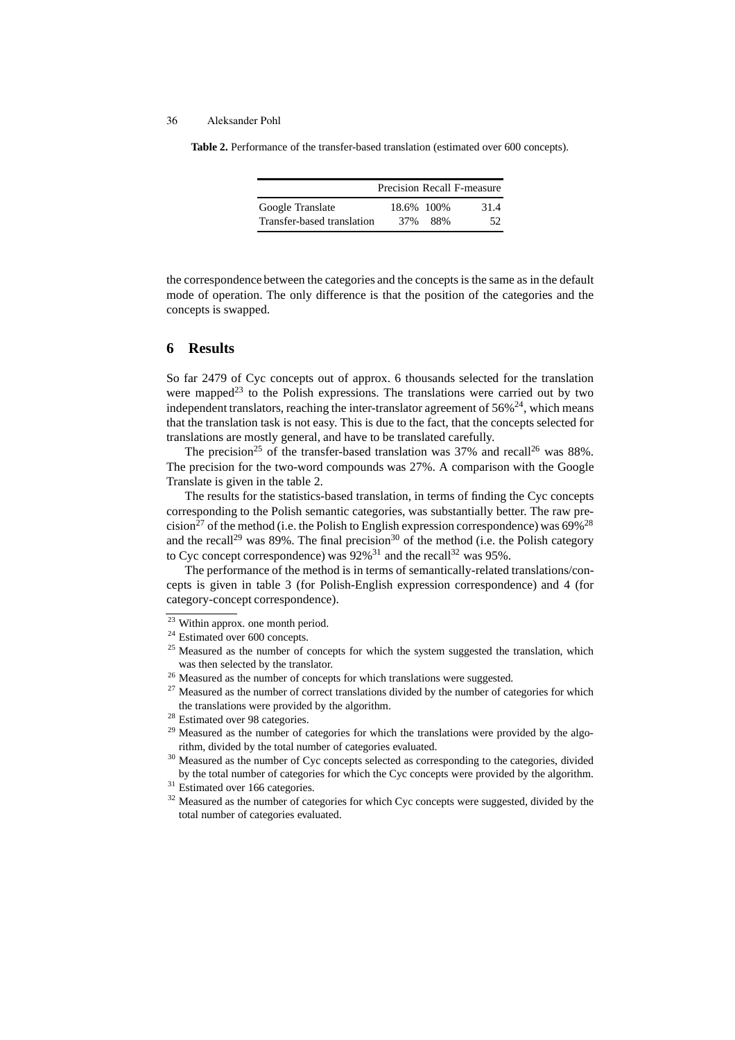|                            |     |            | Precision Recall F-measure |
|----------------------------|-----|------------|----------------------------|
| Google Translate           |     | 18.6% 100% | 31.4                       |
| Transfer-based translation | 37% | 88%        | 52                         |

**Table 2.** Performance of the transfer-based translation (estimated over 600 concepts).

the correspondence between the categories and the conceptsis the same as in the default mode of operation. The only difference is that the position of the categories and the concepts is swapped.

## **6 Results**

So far 2479 of Cyc concepts out of approx. 6 thousands selected for the translation were mapped<sup>23</sup> to the Polish expressions. The translations were carried out by two independent translators, reaching the inter-translator agreement of  $56\%^{24}$ , which means that the translation task is not easy. This is due to the fact, that the concepts selected for translations are mostly general, and have to be translated carefully.

The precision<sup>25</sup> of the transfer-based translation was  $37\%$  and recall<sup>26</sup> was 88%. The precision for the two-word compounds was 27%. A comparison with the Google Translate is given in the table 2.

The results for the statistics-based translation, in terms of finding the Cyc concepts corresponding to the Polish semantic categories, was substantially better. The raw precision<sup>27</sup> of the method (i.e. the Polish to English expression correspondence) was  $69\%^{28}$ and the recall<sup>29</sup> was 89%. The final precision<sup>30</sup> of the method (i.e. the Polish category to Cyc concept correspondence) was  $92\%$ <sup>31</sup> and the recall<sup>32</sup> was  $95\%$ .

The performance of the method is in terms of semantically-related translations/concepts is given in table 3 (for Polish-English expression correspondence) and 4 (for category-concept correspondence).

- <sup>26</sup> Measured as the number of concepts for which translations were suggested.
- <sup>27</sup> Measured as the number of correct translations divided by the number of categories for which the translations were provided by the algorithm.
- <sup>28</sup> Estimated over 98 categories.
- $29$  Measured as the number of categories for which the translations were provided by the algorithm, divided by the total number of categories evaluated.
- Measured as the number of Cyc concepts selected as corresponding to the categories, divided by the total number of categories for which the Cyc concepts were provided by the algorithm.
- <sup>31</sup> Estimated over 166 categories.
- $32$  Measured as the number of categories for which Cyc concepts were suggested, divided by the total number of categories evaluated.

<sup>&</sup>lt;sup>23</sup> Within approx. one month period.

<sup>&</sup>lt;sup>24</sup> Estimated over 600 concepts.

 $25$  Measured as the number of concepts for which the system suggested the translation, which was then selected by the translator.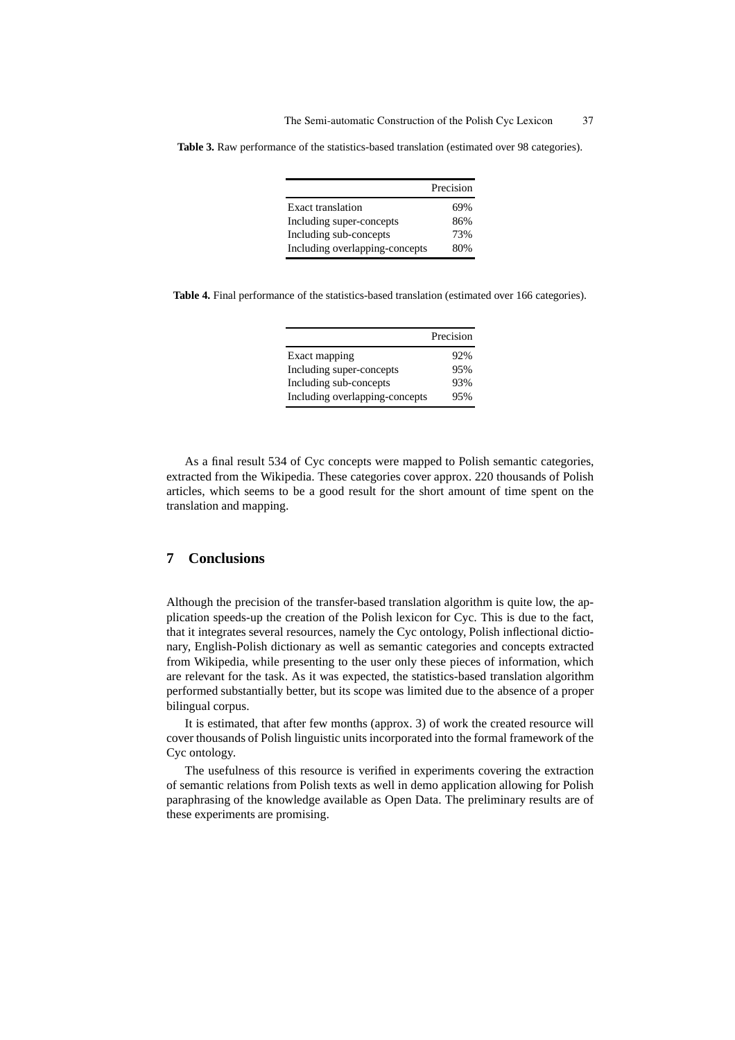**Table 3.** Raw performance of the statistics-based translation (estimated over 98 categories).

|                                | Precision |
|--------------------------------|-----------|
| Exact translation              | 69%       |
| Including super-concepts       | 86%       |
| Including sub-concepts         | 73%       |
| Including overlapping-concepts | 80%       |

**Table 4.** Final performance of the statistics-based translation (estimated over 166 categories).

|                                | Precision |
|--------------------------------|-----------|
| Exact mapping                  | 92%       |
| Including super-concepts       | 95%       |
| Including sub-concepts         | 93%       |
| Including overlapping-concepts | 95%       |

As a final result 534 of Cyc concepts were mapped to Polish semantic categories, extracted from the Wikipedia. These categories cover approx. 220 thousands of Polish articles, which seems to be a good result for the short amount of time spent on the translation and mapping.

# **7 Conclusions**

Although the precision of the transfer-based translation algorithm is quite low, the application speeds-up the creation of the Polish lexicon for Cyc. This is due to the fact, that it integrates several resources, namely the Cyc ontology, Polish inflectional dictionary, English-Polish dictionary as well as semantic categories and concepts extracted from Wikipedia, while presenting to the user only these pieces of information, which are relevant for the task. As it was expected, the statistics-based translation algorithm performed substantially better, but its scope was limited due to the absence of a proper bilingual corpus.

It is estimated, that after few months (approx. 3) of work the created resource will cover thousands of Polish linguistic units incorporated into the formal framework of the Cyc ontology.

The usefulness of this resource is verified in experiments covering the extraction of semantic relations from Polish texts as well in demo application allowing for Polish paraphrasing of the knowledge available as Open Data. The preliminary results are of these experiments are promising.